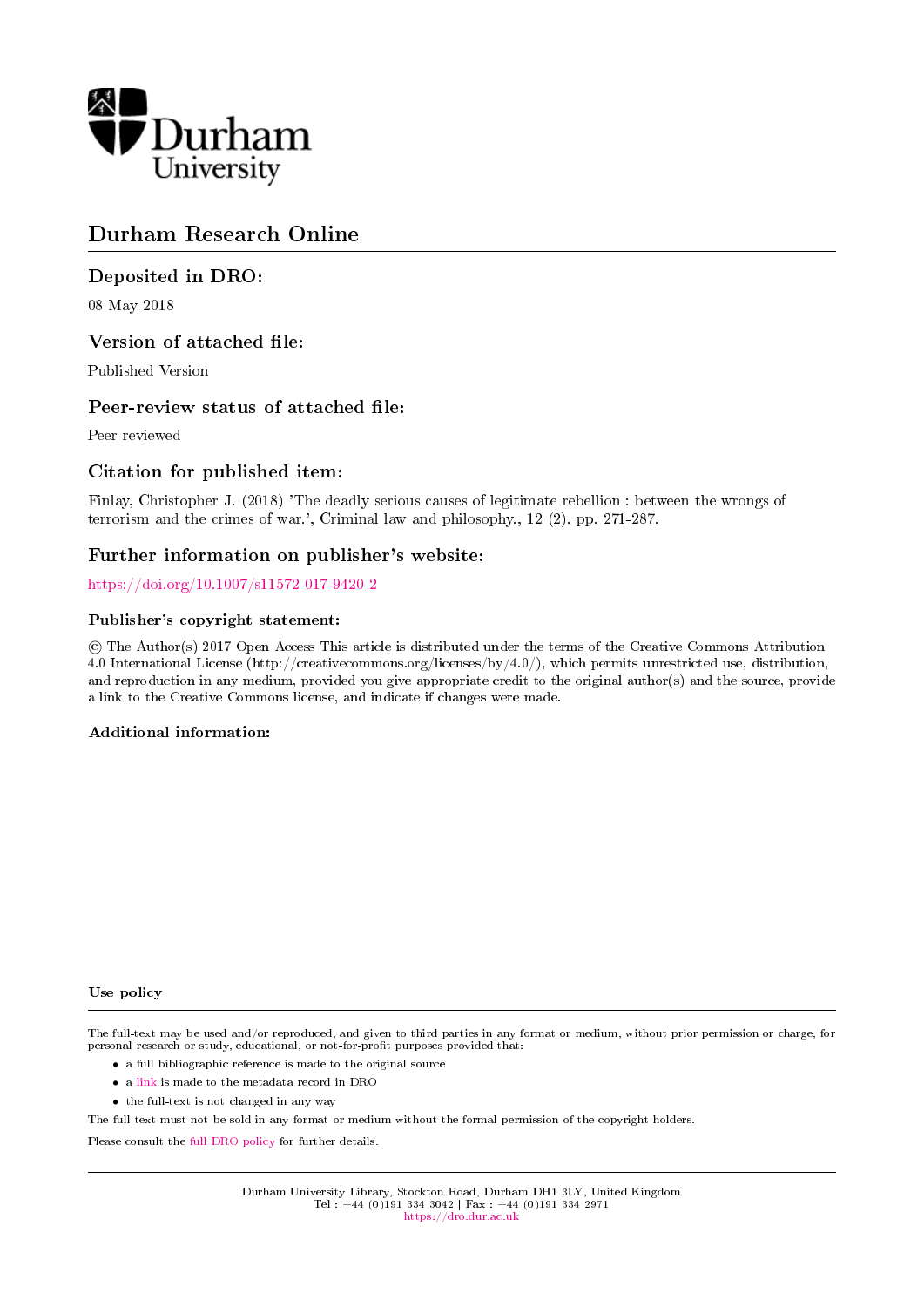

# Durham Research Online

# Deposited in DRO:

08 May 2018

## Version of attached file:

Published Version

## Peer-review status of attached file:

Peer-reviewed

## Citation for published item:

Finlay, Christopher J. (2018) 'The deadly serious causes of legitimate rebellion : between the wrongs of terrorism and the crimes of war.', Criminal law and philosophy., 12 (2). pp. 271-287.

# Further information on publisher's website:

<https://doi.org/10.1007/s11572-017-9420-2>

### Publisher's copyright statement:

 c The Author(s) 2017 Open Access This article is distributed under the terms of the Creative Commons Attribution 4.0 International License (http://creativecommons.org/licenses/by/4.0/), which permits unrestricted use, distribution, and reproduction in any medium, provided you give appropriate credit to the original author(s) and the source, provide a link to the Creative Commons license, and indicate if changes were made.

### Additional information:

### Use policy

The full-text may be used and/or reproduced, and given to third parties in any format or medium, without prior permission or charge, for personal research or study, educational, or not-for-profit purposes provided that:

- a full bibliographic reference is made to the original source
- a [link](http://dro.dur.ac.uk/23241/) is made to the metadata record in DRO
- the full-text is not changed in any way

The full-text must not be sold in any format or medium without the formal permission of the copyright holders.

Please consult the [full DRO policy](https://dro.dur.ac.uk/policies/usepolicy.pdf) for further details.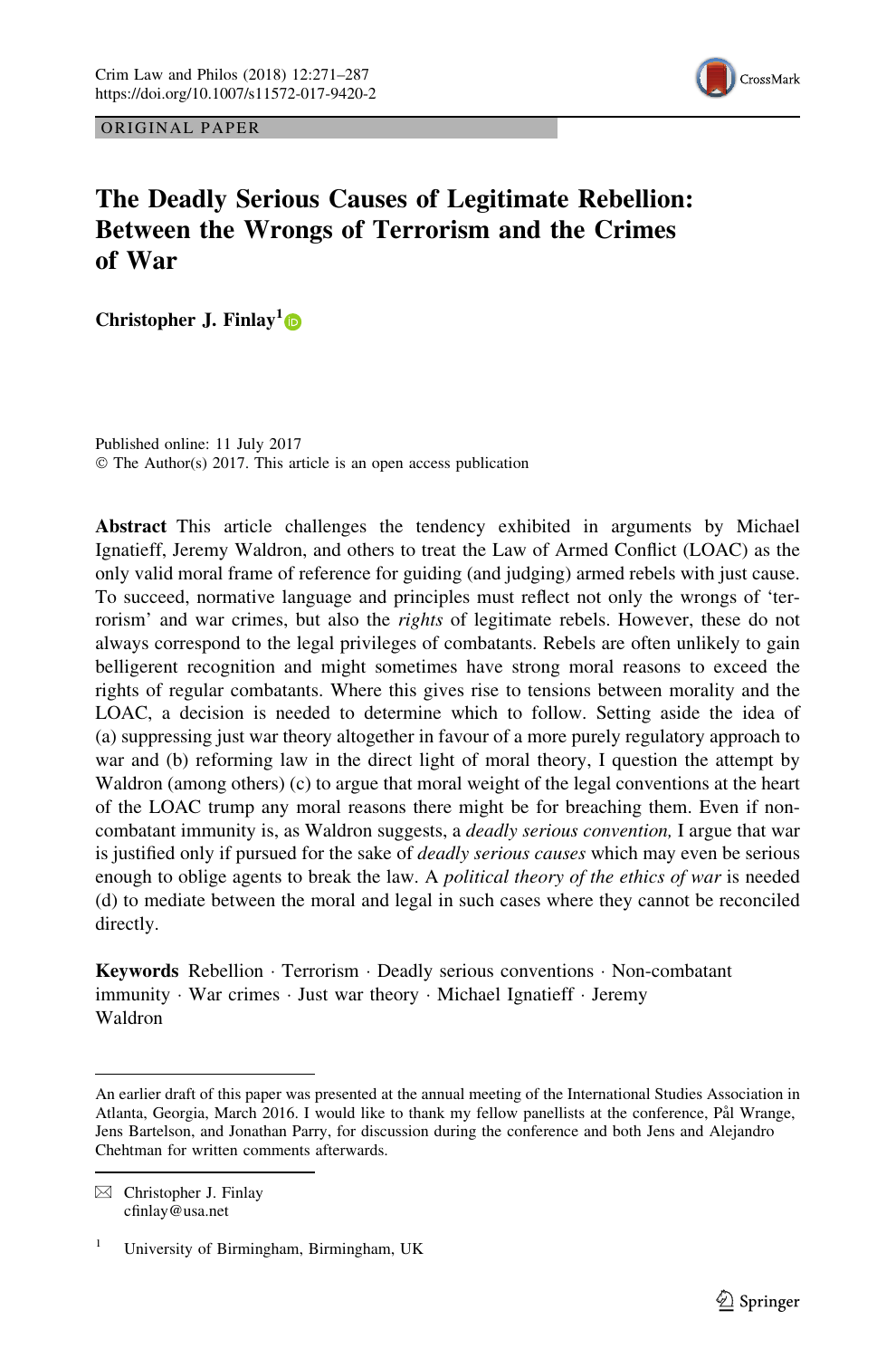

ORIGINAL PAPER

# The Deadly Serious Causes of Legitimate Rebellion: Between the Wrongs of Terrorism and the Crimes of War

Christopher J. Finlay<sup>1</sup>

Published online: 11 July 2017 © The Author(s) 2017. This article is an open access publication

Abstract This article challenges the tendency exhibited in arguments by Michael Ignatieff, Jeremy Waldron, and others to treat the Law of Armed Conflict (LOAC) as the only valid moral frame of reference for guiding (and judging) armed rebels with just cause. To succeed, normative language and principles must reflect not only the wrongs of 'terrorism' and war crimes, but also the *rights* of legitimate rebels. However, these do not always correspond to the legal privileges of combatants. Rebels are often unlikely to gain belligerent recognition and might sometimes have strong moral reasons to exceed the rights of regular combatants. Where this gives rise to tensions between morality and the LOAC, a decision is needed to determine which to follow. Setting aside the idea of (a) suppressing just war theory altogether in favour of a more purely regulatory approach to war and (b) reforming law in the direct light of moral theory, I question the attempt by Waldron (among others) (c) to argue that moral weight of the legal conventions at the heart of the LOAC trump any moral reasons there might be for breaching them. Even if noncombatant immunity is, as Waldron suggests, a *deadly serious convention*, I argue that war is justified only if pursued for the sake of *deadly serious causes* which may even be serious enough to oblige agents to break the law. A political theory of the ethics of war is needed (d) to mediate between the moral and legal in such cases where they cannot be reconciled directly.

Keywords Rebellion - Terrorism - Deadly serious conventions - Non-combatant immunity - War crimes - Just war theory - Michael Ignatieff - Jeremy Waldron

An earlier draft of this paper was presented at the annual meeting of the International Studies Association in Atlanta, Georgia, March 2016. I would like to thank my fellow panellists at the conference, Pål Wrange, Jens Bartelson, and Jonathan Parry, for discussion during the conference and both Jens and Alejandro Chehtman for written comments afterwards.

 $\boxtimes$  Christopher J. Finlay cfinlay@usa.net

<sup>&</sup>lt;sup>1</sup> University of Birmingham, Birmingham, UK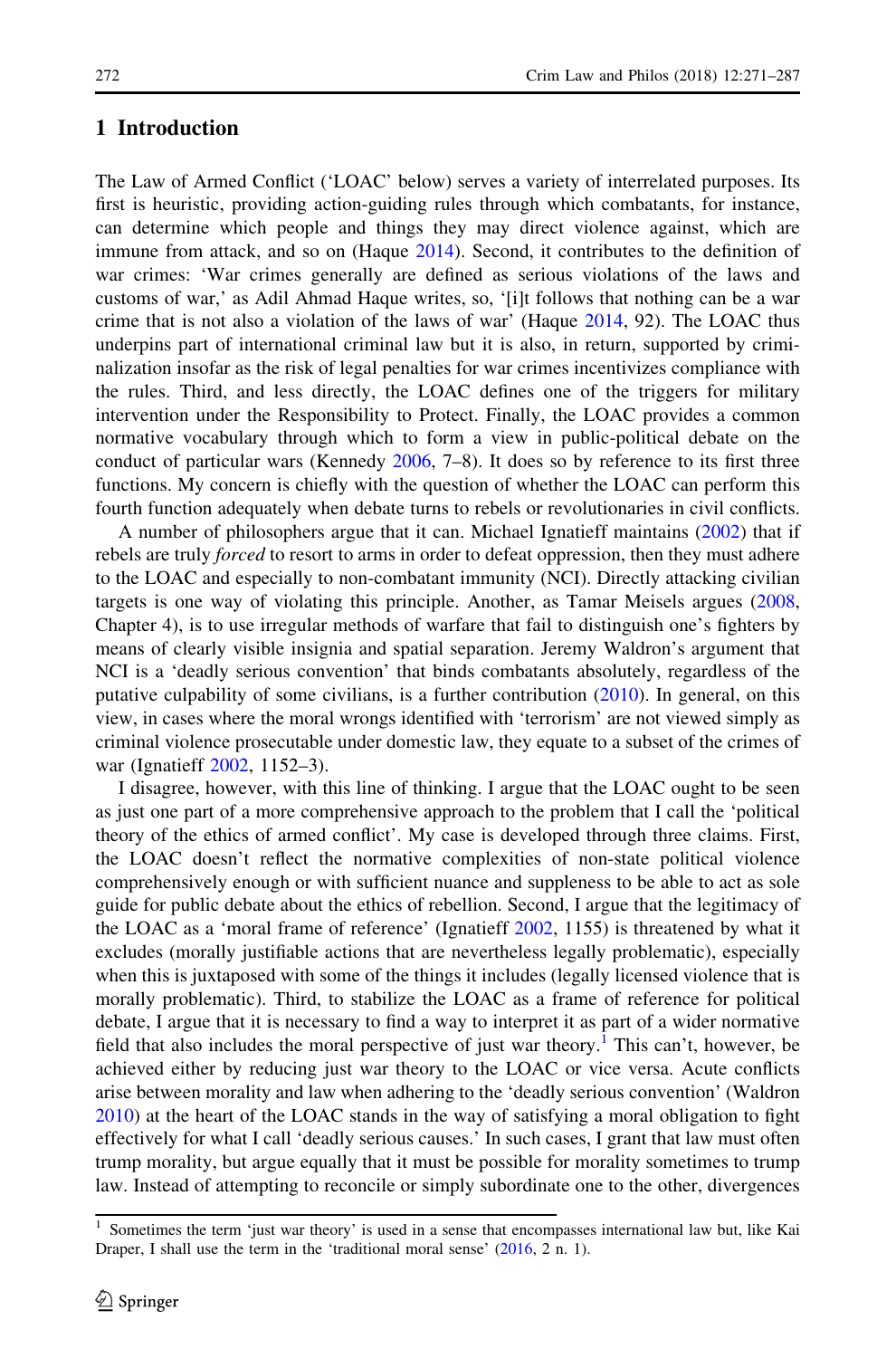### 1 Introduction

The Law of Armed Conflict ('LOAC' below) serves a variety of interrelated purposes. Its first is heuristic, providing action-guiding rules through which combatants, for instance, can determine which people and things they may direct violence against, which are immune from attack, and so on (Haque [2014\)](#page-16-0). Second, it contributes to the definition of war crimes: 'War crimes generally are defined as serious violations of the laws and customs of war,' as Adil Ahmad Haque writes, so, '[i]t follows that nothing can be a war crime that is not also a violation of the laws of war' (Haque [2014,](#page-16-0) 92). The LOAC thus underpins part of international criminal law but it is also, in return, supported by criminalization insofar as the risk of legal penalties for war crimes incentivizes compliance with the rules. Third, and less directly, the LOAC defines one of the triggers for military intervention under the Responsibility to Protect. Finally, the LOAC provides a common normative vocabulary through which to form a view in public-political debate on the conduct of particular wars (Kennedy [2006,](#page-16-0) 7–8). It does so by reference to its first three functions. My concern is chiefly with the question of whether the LOAC can perform this fourth function adequately when debate turns to rebels or revolutionaries in civil conflicts.

A number of philosophers argue that it can. Michael Ignatieff maintains [\(2002](#page-16-0)) that if rebels are truly *forced* to resort to arms in order to defeat oppression, then they must adhere to the LOAC and especially to non-combatant immunity (NCI). Directly attacking civilian targets is one way of violating this principle. Another, as Tamar Meisels argues [\(2008](#page-17-0), Chapter 4), is to use irregular methods of warfare that fail to distinguish one's fighters by means of clearly visible insignia and spatial separation. Jeremy Waldron's argument that NCI is a 'deadly serious convention' that binds combatants absolutely, regardless of the putative culpability of some civilians, is a further contribution [\(2010](#page-17-0)). In general, on this view, in cases where the moral wrongs identified with 'terrorism' are not viewed simply as criminal violence prosecutable under domestic law, they equate to a subset of the crimes of war (Ignatieff [2002](#page-16-0), 1152–3).

I disagree, however, with this line of thinking. I argue that the LOAC ought to be seen as just one part of a more comprehensive approach to the problem that I call the 'political theory of the ethics of armed conflict'. My case is developed through three claims. First, the LOAC doesn't reflect the normative complexities of non-state political violence comprehensively enough or with sufficient nuance and suppleness to be able to act as sole guide for public debate about the ethics of rebellion. Second, I argue that the legitimacy of the LOAC as a 'moral frame of reference' (Ignatieff [2002](#page-16-0), 1155) is threatened by what it excludes (morally justifiable actions that are nevertheless legally problematic), especially when this is juxtaposed with some of the things it includes (legally licensed violence that is morally problematic). Third, to stabilize the LOAC as a frame of reference for political debate, I argue that it is necessary to find a way to interpret it as part of a wider normative field that also includes the moral perspective of just war theory.<sup>1</sup> This can't, however, be achieved either by reducing just war theory to the LOAC or vice versa. Acute conflicts arise between morality and law when adhering to the 'deadly serious convention' (Waldron [2010\)](#page-17-0) at the heart of the LOAC stands in the way of satisfying a moral obligation to fight effectively for what I call 'deadly serious causes.' In such cases, I grant that law must often trump morality, but argue equally that it must be possible for morality sometimes to trump law. Instead of attempting to reconcile or simply subordinate one to the other, divergences

<sup>1</sup> Sometimes the term 'just war theory' is used in a sense that encompasses international law but, like Kai Draper, I shall use the term in the 'traditional moral sense' [\(2016](#page-16-0), 2 n. 1).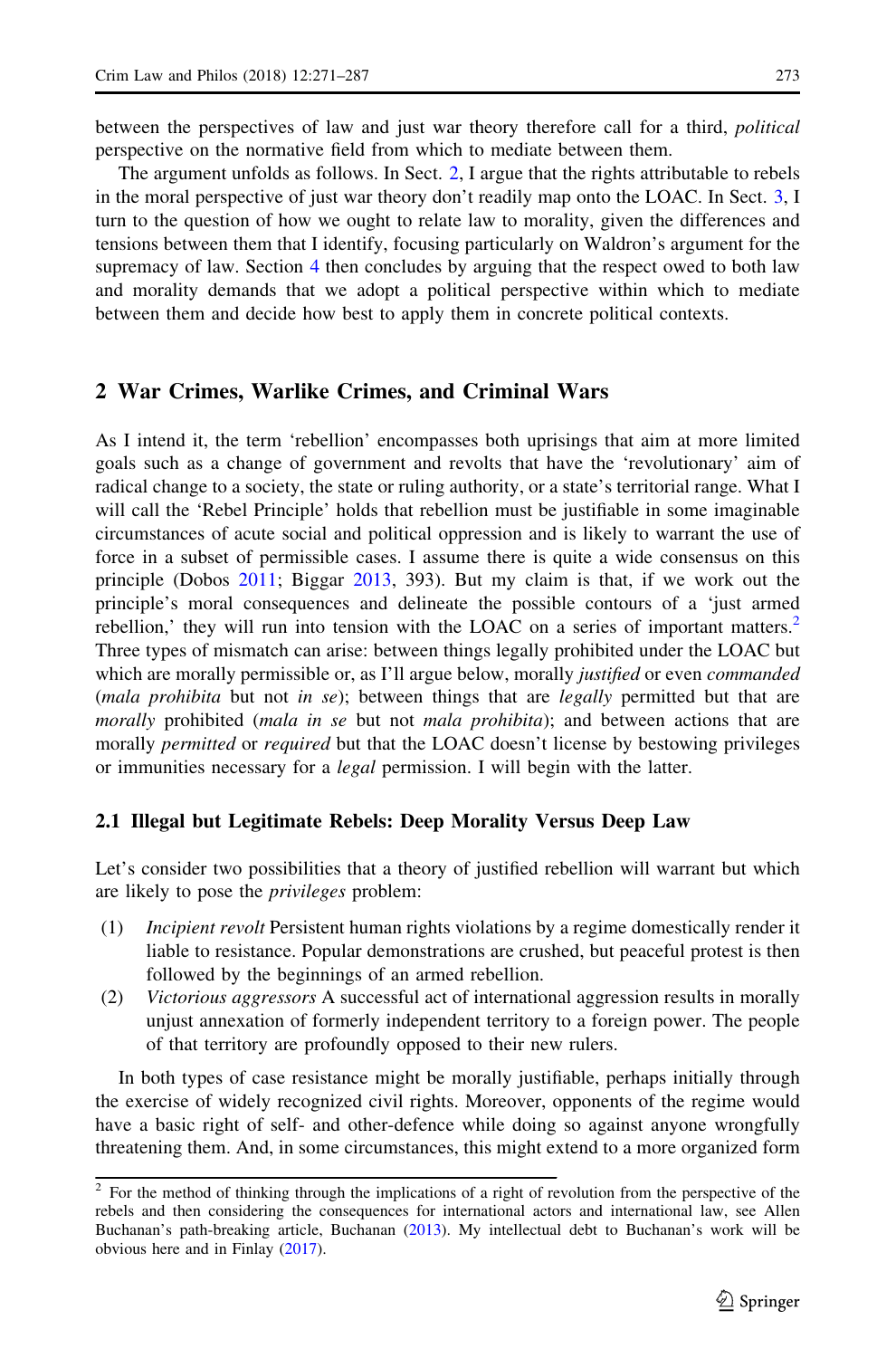<span id="page-3-0"></span>between the perspectives of law and just war theory therefore call for a third, *political* perspective on the normative field from which to mediate between them.

The argument unfolds as follows. In Sect. 2, I argue that the rights attributable to rebels in the moral perspective of just war theory don't readily map onto the LOAC. In Sect. [3](#page-10-0), I turn to the question of how we ought to relate law to morality, given the differences and tensions between them that I identify, focusing particularly on Waldron's argument for the supremacy of law. Section [4](#page-15-0) then concludes by arguing that the respect owed to both law and morality demands that we adopt a political perspective within which to mediate between them and decide how best to apply them in concrete political contexts.

### 2 War Crimes, Warlike Crimes, and Criminal Wars

As I intend it, the term 'rebellion' encompasses both uprisings that aim at more limited goals such as a change of government and revolts that have the 'revolutionary' aim of radical change to a society, the state or ruling authority, or a state's territorial range. What I will call the 'Rebel Principle' holds that rebellion must be justifiable in some imaginable circumstances of acute social and political oppression and is likely to warrant the use of force in a subset of permissible cases. I assume there is quite a wide consensus on this principle (Dobos [2011](#page-16-0); Biggar [2013](#page-16-0), 393). But my claim is that, if we work out the principle's moral consequences and delineate the possible contours of a 'just armed rebellion,' they will run into tension with the LOAC on a series of important matters. $<sup>2</sup>$ </sup> Three types of mismatch can arise: between things legally prohibited under the LOAC but which are morally permissible or, as I'll argue below, morally *justified* or even *commanded* (mala prohibita but not in se); between things that are legally permitted but that are morally prohibited (mala in se but not mala prohibita); and between actions that are morally *permitted* or *required* but that the LOAC doesn't license by bestowing privileges or immunities necessary for a *legal* permission. I will begin with the latter.

#### 2.1 Illegal but Legitimate Rebels: Deep Morality Versus Deep Law

Let's consider two possibilities that a theory of justified rebellion will warrant but which are likely to pose the *privileges* problem:

- (1) Incipient revolt Persistent human rights violations by a regime domestically render it liable to resistance. Popular demonstrations are crushed, but peaceful protest is then followed by the beginnings of an armed rebellion.
- (2) Victorious aggressors A successful act of international aggression results in morally unjust annexation of formerly independent territory to a foreign power. The people of that territory are profoundly opposed to their new rulers.

In both types of case resistance might be morally justifiable, perhaps initially through the exercise of widely recognized civil rights. Moreover, opponents of the regime would have a basic right of self- and other-defence while doing so against anyone wrongfully threatening them. And, in some circumstances, this might extend to a more organized form

<sup>&</sup>lt;sup>2</sup> For the method of thinking through the implications of a right of revolution from the perspective of the rebels and then considering the consequences for international actors and international law, see Allen Buchanan's path-breaking article, Buchanan ([2013\)](#page-16-0). My intellectual debt to Buchanan's work will be obvious here and in Finlay ([2017\)](#page-16-0).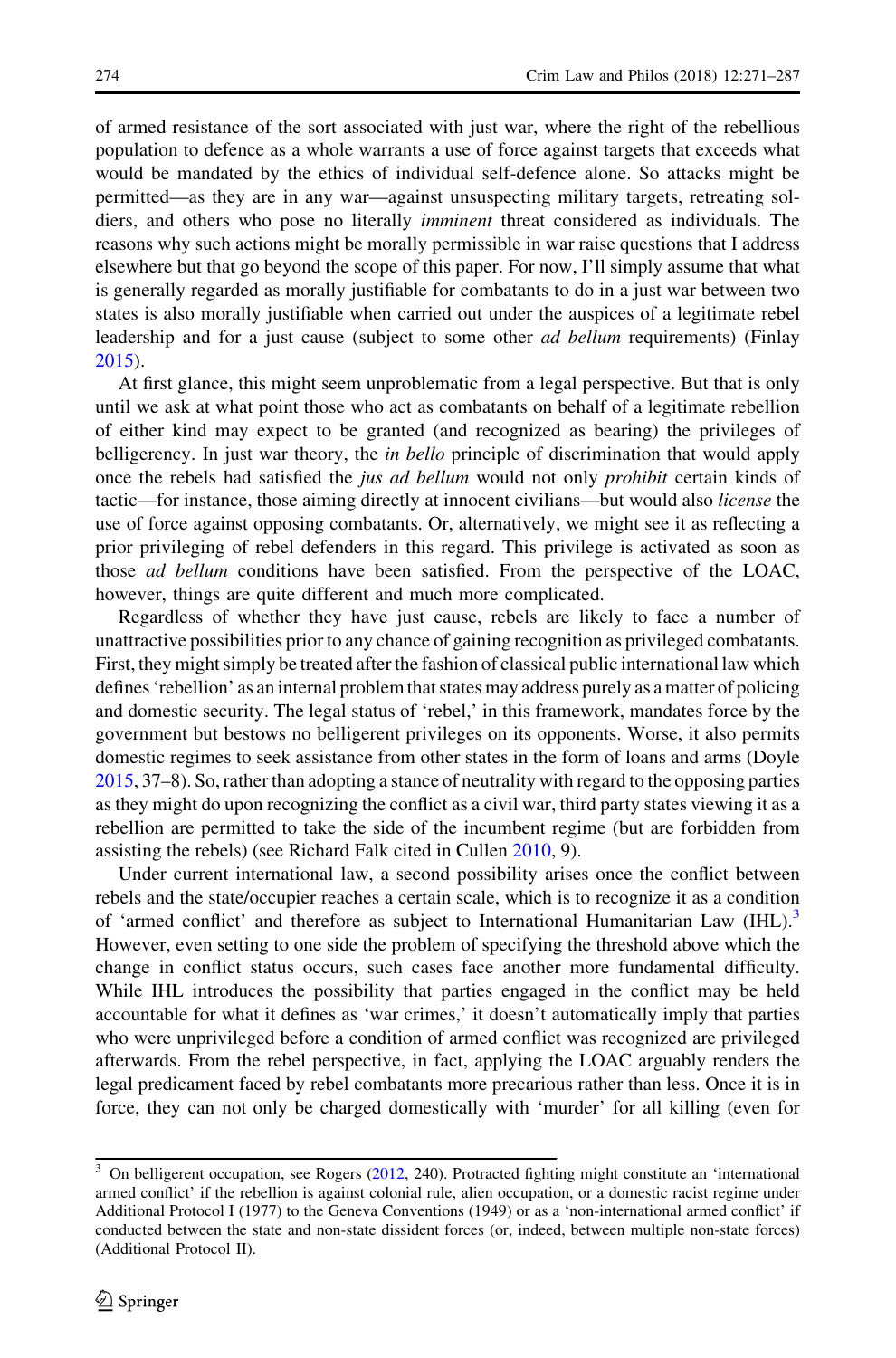of armed resistance of the sort associated with just war, where the right of the rebellious population to defence as a whole warrants a use of force against targets that exceeds what would be mandated by the ethics of individual self-defence alone. So attacks might be permitted—as they are in any war—against unsuspecting military targets, retreating soldiers, and others who pose no literally *imminent* threat considered as individuals. The reasons why such actions might be morally permissible in war raise questions that I address elsewhere but that go beyond the scope of this paper. For now, I'll simply assume that what is generally regarded as morally justifiable for combatants to do in a just war between two states is also morally justifiable when carried out under the auspices of a legitimate rebel leadership and for a just cause (subject to some other *ad bellum* requirements) (Finlay [2015\)](#page-16-0).

At first glance, this might seem unproblematic from a legal perspective. But that is only until we ask at what point those who act as combatants on behalf of a legitimate rebellion of either kind may expect to be granted (and recognized as bearing) the privileges of belligerency. In just war theory, the *in bello* principle of discrimination that would apply once the rebels had satisfied the *jus ad bellum* would not only *prohibit* certain kinds of tactic—for instance, those aiming directly at innocent civilians—but would also license the use of force against opposing combatants. Or, alternatively, we might see it as reflecting a prior privileging of rebel defenders in this regard. This privilege is activated as soon as those ad bellum conditions have been satisfied. From the perspective of the LOAC, however, things are quite different and much more complicated.

Regardless of whether they have just cause, rebels are likely to face a number of unattractive possibilities prior to any chance of gaining recognition as privileged combatants. First, they might simply be treated after the fashion of classical public international law which defines 'rebellion' as an internal problem that states may address purely as a matter of policing and domestic security. The legal status of 'rebel,' in this framework, mandates force by the government but bestows no belligerent privileges on its opponents. Worse, it also permits domestic regimes to seek assistance from other states in the form of loans and arms (Doyle [2015,](#page-16-0) 37–8). So, rather than adopting a stance of neutrality with regard to the opposing parties as they might do upon recognizing the conflict as a civil war, third party states viewing it as a rebellion are permitted to take the side of the incumbent regime (but are forbidden from assisting the rebels) (see Richard Falk cited in Cullen [2010](#page-16-0), 9).

Under current international law, a second possibility arises once the conflict between rebels and the state/occupier reaches a certain scale, which is to recognize it as a condition of 'armed conflict' and therefore as subject to International Humanitarian Law (IHL).<sup>3</sup> However, even setting to one side the problem of specifying the threshold above which the change in conflict status occurs, such cases face another more fundamental difficulty. While IHL introduces the possibility that parties engaged in the conflict may be held accountable for what it defines as 'war crimes,' it doesn't automatically imply that parties who were unprivileged before a condition of armed conflict was recognized are privileged afterwards. From the rebel perspective, in fact, applying the LOAC arguably renders the legal predicament faced by rebel combatants more precarious rather than less. Once it is in force, they can not only be charged domestically with 'murder' for all killing (even for

<sup>3</sup> On belligerent occupation, see Rogers ([2012,](#page-17-0) 240). Protracted fighting might constitute an 'international armed conflict' if the rebellion is against colonial rule, alien occupation, or a domestic racist regime under Additional Protocol I (1977) to the Geneva Conventions (1949) or as a 'non-international armed conflict' if conducted between the state and non-state dissident forces (or, indeed, between multiple non-state forces) (Additional Protocol II).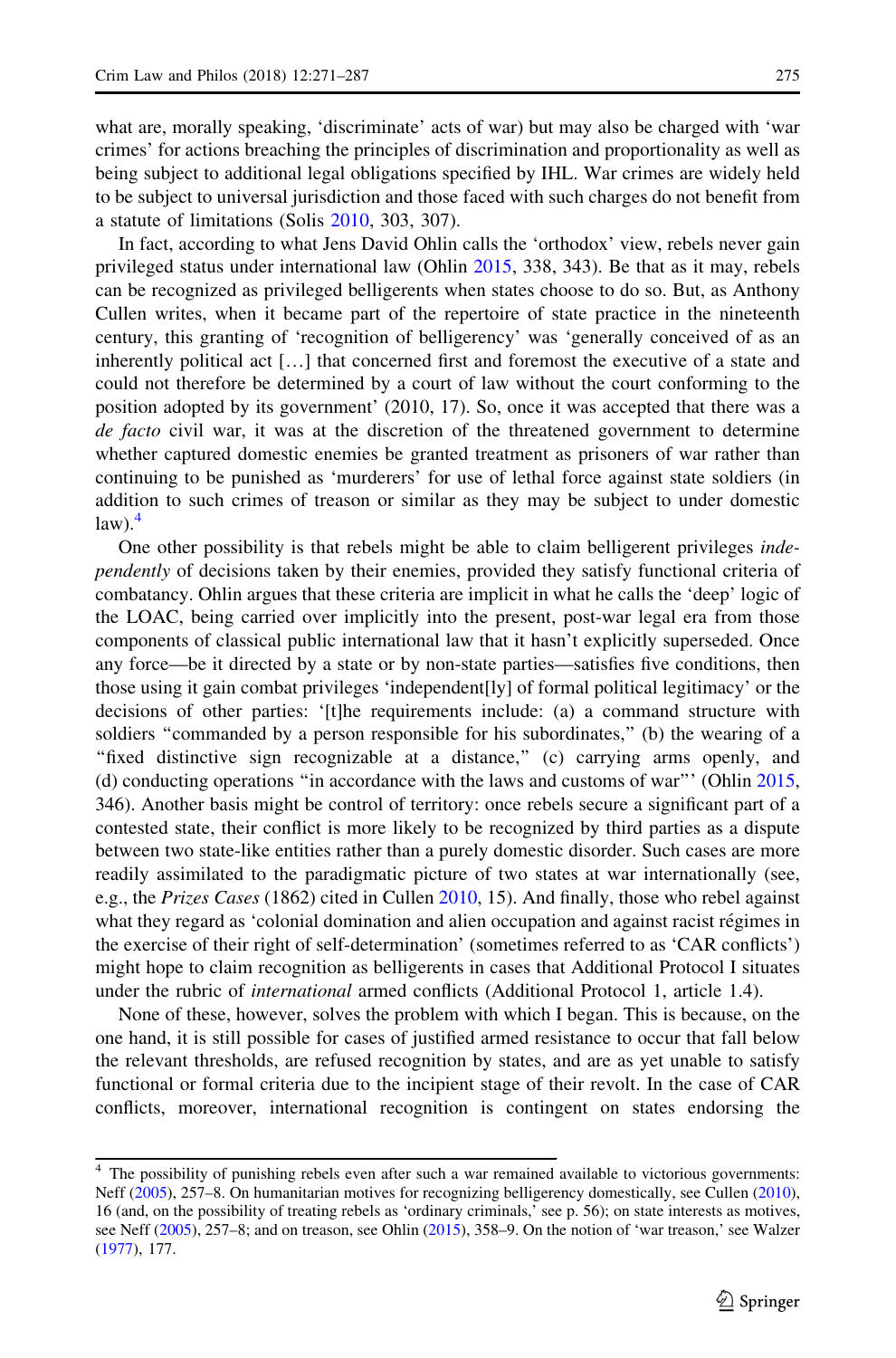what are, morally speaking, 'discriminate' acts of war) but may also be charged with 'war crimes' for actions breaching the principles of discrimination and proportionality as well as being subject to additional legal obligations specified by IHL. War crimes are widely held to be subject to universal jurisdiction and those faced with such charges do not benefit from a statute of limitations (Solis [2010](#page-17-0), 303, 307).

In fact, according to what Jens David Ohlin calls the 'orthodox' view, rebels never gain privileged status under international law (Ohlin [2015](#page-17-0), 338, 343). Be that as it may, rebels can be recognized as privileged belligerents when states choose to do so. But, as Anthony Cullen writes, when it became part of the repertoire of state practice in the nineteenth century, this granting of 'recognition of belligerency' was 'generally conceived of as an inherently political act […] that concerned first and foremost the executive of a state and could not therefore be determined by a court of law without the court conforming to the position adopted by its government' (2010, 17). So, once it was accepted that there was a de facto civil war, it was at the discretion of the threatened government to determine whether captured domestic enemies be granted treatment as prisoners of war rather than continuing to be punished as 'murderers' for use of lethal force against state soldiers (in addition to such crimes of treason or similar as they may be subject to under domestic  $law$ ).<sup>4</sup>

One other possibility is that rebels might be able to claim belligerent privileges independently of decisions taken by their enemies, provided they satisfy functional criteria of combatancy. Ohlin argues that these criteria are implicit in what he calls the 'deep' logic of the LOAC, being carried over implicitly into the present, post-war legal era from those components of classical public international law that it hasn't explicitly superseded. Once any force—be it directed by a state or by non-state parties—satisfies five conditions, then those using it gain combat privileges 'independent[ly] of formal political legitimacy' or the decisions of other parties: '[t]he requirements include: (a) a command structure with soldiers "commanded by a person responsible for his subordinates," (b) the wearing of a "fixed distinctive sign recognizable at a distance," (c) carrying arms openly, and (d) conducting operations ''in accordance with the laws and customs of war''' (Ohlin [2015](#page-17-0), 346). Another basis might be control of territory: once rebels secure a significant part of a contested state, their conflict is more likely to be recognized by third parties as a dispute between two state-like entities rather than a purely domestic disorder. Such cases are more readily assimilated to the paradigmatic picture of two states at war internationally (see, e.g., the Prizes Cases (1862) cited in Cullen [2010](#page-16-0), 15). And finally, those who rebel against what they regard as 'colonial domination and alien occupation and against racist régimes in the exercise of their right of self-determination' (sometimes referred to as 'CAR conflicts') might hope to claim recognition as belligerents in cases that Additional Protocol I situates under the rubric of *international* armed conflicts (Additional Protocol 1, article 1.4).

None of these, however, solves the problem with which I began. This is because, on the one hand, it is still possible for cases of justified armed resistance to occur that fall below the relevant thresholds, are refused recognition by states, and are as yet unable to satisfy functional or formal criteria due to the incipient stage of their revolt. In the case of CAR conflicts, moreover, international recognition is contingent on states endorsing the

The possibility of punishing rebels even after such a war remained available to victorious governments: Neff [\(2005\)](#page-17-0), 257–8. On humanitarian motives for recognizing belligerency domestically, see Cullen [\(2010\)](#page-16-0), 16 (and, on the possibility of treating rebels as 'ordinary criminals,' see p. 56); on state interests as motives, see Neff [\(2005](#page-17-0)), 257–8; and on treason, see Ohlin [\(2015](#page-17-0)), 358–9. On the notion of 'war treason,' see Walzer [\(1977](#page-17-0)), 177.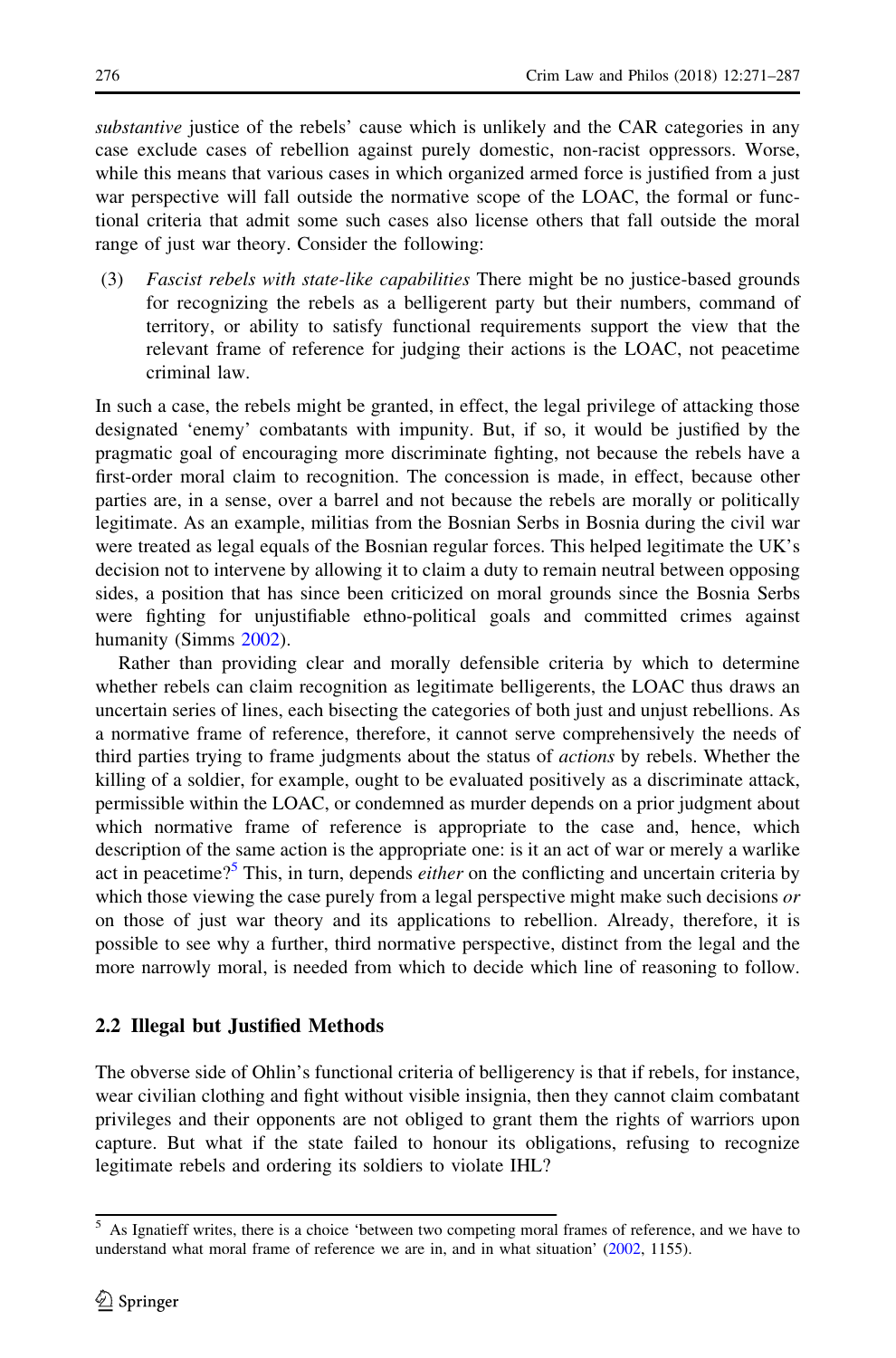<span id="page-6-0"></span>substantive justice of the rebels' cause which is unlikely and the CAR categories in any case exclude cases of rebellion against purely domestic, non-racist oppressors. Worse, while this means that various cases in which organized armed force is justified from a just war perspective will fall outside the normative scope of the LOAC, the formal or functional criteria that admit some such cases also license others that fall outside the moral range of just war theory. Consider the following:

(3) Fascist rebels with state-like capabilities There might be no justice-based grounds for recognizing the rebels as a belligerent party but their numbers, command of territory, or ability to satisfy functional requirements support the view that the relevant frame of reference for judging their actions is the LOAC, not peacetime criminal law.

In such a case, the rebels might be granted, in effect, the legal privilege of attacking those designated 'enemy' combatants with impunity. But, if so, it would be justified by the pragmatic goal of encouraging more discriminate fighting, not because the rebels have a first-order moral claim to recognition. The concession is made, in effect, because other parties are, in a sense, over a barrel and not because the rebels are morally or politically legitimate. As an example, militias from the Bosnian Serbs in Bosnia during the civil war were treated as legal equals of the Bosnian regular forces. This helped legitimate the UK's decision not to intervene by allowing it to claim a duty to remain neutral between opposing sides, a position that has since been criticized on moral grounds since the Bosnia Serbs were fighting for unjustifiable ethno-political goals and committed crimes against humanity (Simms [2002](#page-17-0)).

Rather than providing clear and morally defensible criteria by which to determine whether rebels can claim recognition as legitimate belligerents, the LOAC thus draws an uncertain series of lines, each bisecting the categories of both just and unjust rebellions. As a normative frame of reference, therefore, it cannot serve comprehensively the needs of third parties trying to frame judgments about the status of actions by rebels. Whether the killing of a soldier, for example, ought to be evaluated positively as a discriminate attack, permissible within the LOAC, or condemned as murder depends on a prior judgment about which normative frame of reference is appropriate to the case and, hence, which description of the same action is the appropriate one: is it an act of war or merely a warlike act in peacetime?<sup>5</sup> This, in turn, depends *either* on the conflicting and uncertain criteria by which those viewing the case purely from a legal perspective might make such decisions  $\sigma r$ on those of just war theory and its applications to rebellion. Already, therefore, it is possible to see why a further, third normative perspective, distinct from the legal and the more narrowly moral, is needed from which to decide which line of reasoning to follow.

#### 2.2 Illegal but Justified Methods

The obverse side of Ohlin's functional criteria of belligerency is that if rebels, for instance, wear civilian clothing and fight without visible insignia, then they cannot claim combatant privileges and their opponents are not obliged to grant them the rights of warriors upon capture. But what if the state failed to honour its obligations, refusing to recognize legitimate rebels and ordering its soldiers to violate IHL?

<sup>5</sup> As Ignatieff writes, there is a choice 'between two competing moral frames of reference, and we have to understand what moral frame of reference we are in, and in what situation' ([2002](#page-16-0), 1155).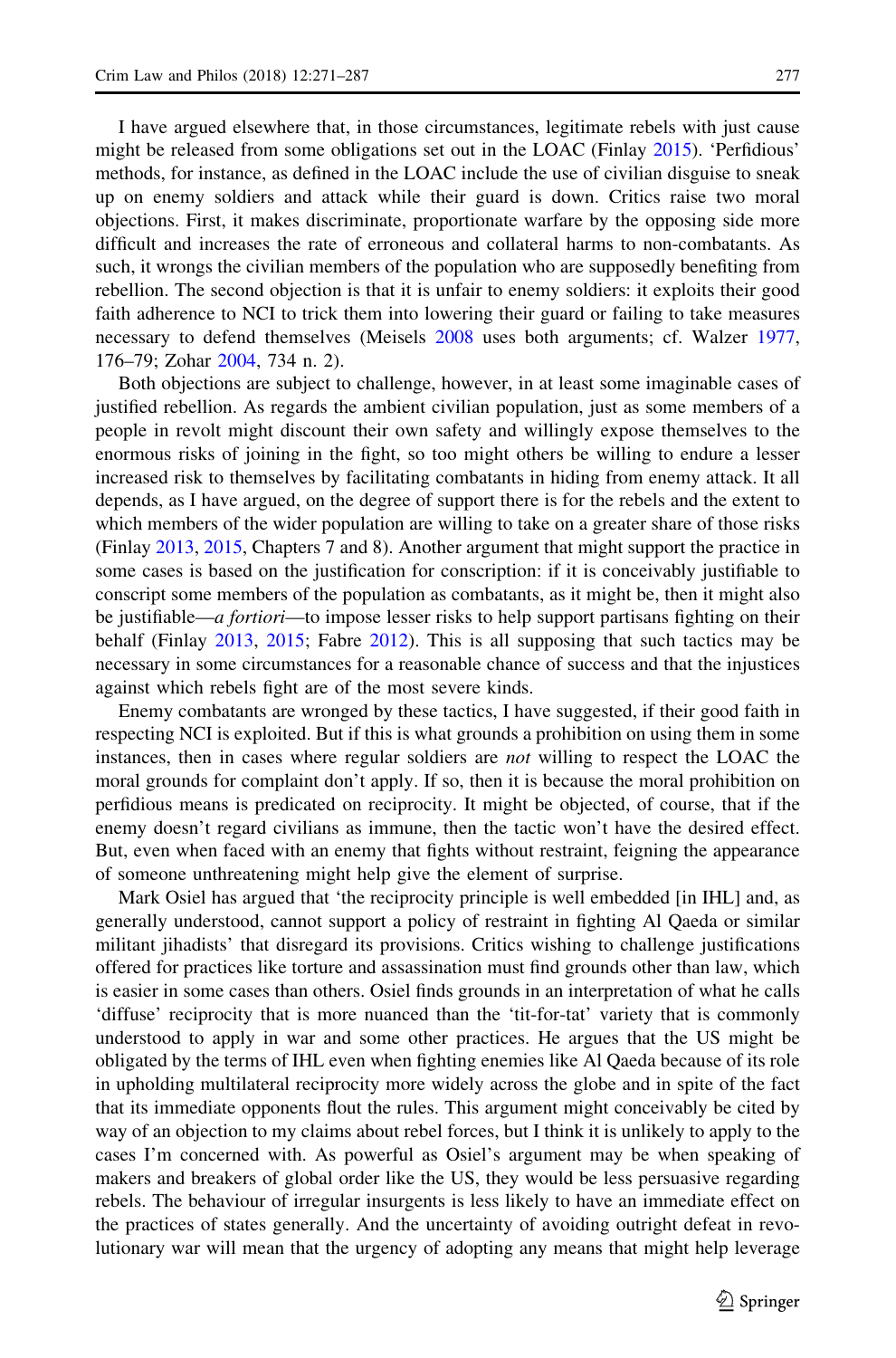I have argued elsewhere that, in those circumstances, legitimate rebels with just cause might be released from some obligations set out in the LOAC (Finlay [2015](#page-16-0)). 'Perfidious' methods, for instance, as defined in the LOAC include the use of civilian disguise to sneak up on enemy soldiers and attack while their guard is down. Critics raise two moral objections. First, it makes discriminate, proportionate warfare by the opposing side more difficult and increases the rate of erroneous and collateral harms to non-combatants. As such, it wrongs the civilian members of the population who are supposedly benefiting from rebellion. The second objection is that it is unfair to enemy soldiers: it exploits their good faith adherence to NCI to trick them into lowering their guard or failing to take measures necessary to defend themselves (Meisels [2008](#page-17-0) uses both arguments; cf. Walzer [1977](#page-17-0), 176–79; Zohar [2004,](#page-17-0) 734 n. 2).

Both objections are subject to challenge, however, in at least some imaginable cases of justified rebellion. As regards the ambient civilian population, just as some members of a people in revolt might discount their own safety and willingly expose themselves to the enormous risks of joining in the fight, so too might others be willing to endure a lesser increased risk to themselves by facilitating combatants in hiding from enemy attack. It all depends, as I have argued, on the degree of support there is for the rebels and the extent to which members of the wider population are willing to take on a greater share of those risks (Finlay [2013](#page-16-0), [2015](#page-16-0), Chapters 7 and 8). Another argument that might support the practice in some cases is based on the justification for conscription: if it is conceivably justifiable to conscript some members of the population as combatants, as it might be, then it might also be justifiable—a fortiori—to impose lesser risks to help support partisans fighting on their behalf (Finlay [2013](#page-16-0), [2015;](#page-16-0) Fabre [2012](#page-16-0)). This is all supposing that such tactics may be necessary in some circumstances for a reasonable chance of success and that the injustices against which rebels fight are of the most severe kinds.

Enemy combatants are wronged by these tactics, I have suggested, if their good faith in respecting NCI is exploited. But if this is what grounds a prohibition on using them in some instances, then in cases where regular soldiers are *not* willing to respect the LOAC the moral grounds for complaint don't apply. If so, then it is because the moral prohibition on perfidious means is predicated on reciprocity. It might be objected, of course, that if the enemy doesn't regard civilians as immune, then the tactic won't have the desired effect. But, even when faced with an enemy that fights without restraint, feigning the appearance of someone unthreatening might help give the element of surprise.

Mark Osiel has argued that 'the reciprocity principle is well embedded [in IHL] and, as generally understood, cannot support a policy of restraint in fighting Al Qaeda or similar militant jihadists' that disregard its provisions. Critics wishing to challenge justifications offered for practices like torture and assassination must find grounds other than law, which is easier in some cases than others. Osiel finds grounds in an interpretation of what he calls 'diffuse' reciprocity that is more nuanced than the 'tit-for-tat' variety that is commonly understood to apply in war and some other practices. He argues that the US might be obligated by the terms of IHL even when fighting enemies like Al Qaeda because of its role in upholding multilateral reciprocity more widely across the globe and in spite of the fact that its immediate opponents flout the rules. This argument might conceivably be cited by way of an objection to my claims about rebel forces, but I think it is unlikely to apply to the cases I'm concerned with. As powerful as Osiel's argument may be when speaking of makers and breakers of global order like the US, they would be less persuasive regarding rebels. The behaviour of irregular insurgents is less likely to have an immediate effect on the practices of states generally. And the uncertainty of avoiding outright defeat in revolutionary war will mean that the urgency of adopting any means that might help leverage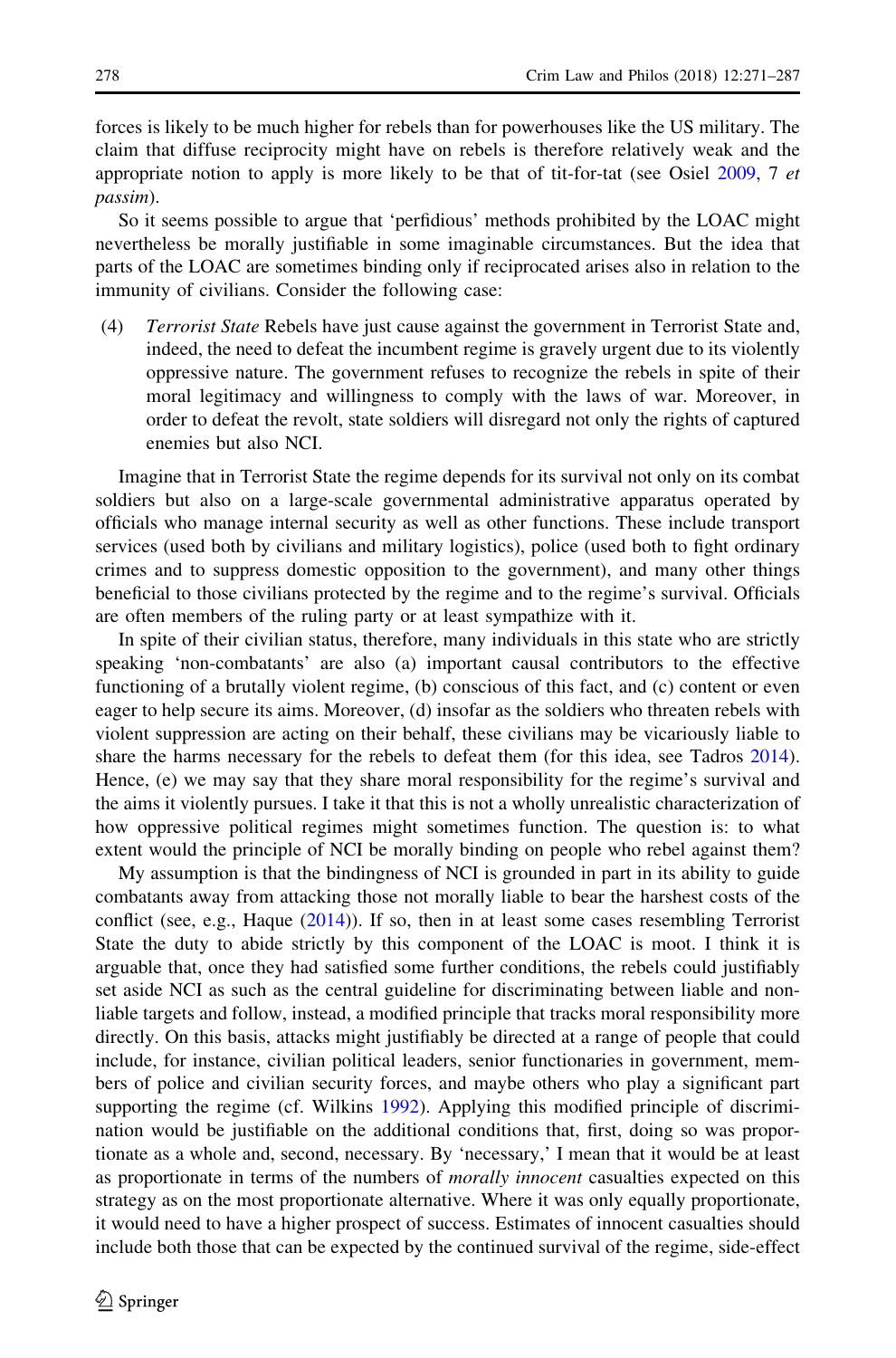forces is likely to be much higher for rebels than for powerhouses like the US military. The claim that diffuse reciprocity might have on rebels is therefore relatively weak and the appropriate notion to apply is more likely to be that of tit-for-tat (see Osiel [2009,](#page-17-0) 7 et passim).

So it seems possible to argue that 'perfidious' methods prohibited by the LOAC might nevertheless be morally justifiable in some imaginable circumstances. But the idea that parts of the LOAC are sometimes binding only if reciprocated arises also in relation to the immunity of civilians. Consider the following case:

(4) Terrorist State Rebels have just cause against the government in Terrorist State and, indeed, the need to defeat the incumbent regime is gravely urgent due to its violently oppressive nature. The government refuses to recognize the rebels in spite of their moral legitimacy and willingness to comply with the laws of war. Moreover, in order to defeat the revolt, state soldiers will disregard not only the rights of captured enemies but also NCI.

Imagine that in Terrorist State the regime depends for its survival not only on its combat soldiers but also on a large-scale governmental administrative apparatus operated by officials who manage internal security as well as other functions. These include transport services (used both by civilians and military logistics), police (used both to fight ordinary crimes and to suppress domestic opposition to the government), and many other things beneficial to those civilians protected by the regime and to the regime's survival. Officials are often members of the ruling party or at least sympathize with it.

In spite of their civilian status, therefore, many individuals in this state who are strictly speaking 'non-combatants' are also (a) important causal contributors to the effective functioning of a brutally violent regime, (b) conscious of this fact, and (c) content or even eager to help secure its aims. Moreover, (d) insofar as the soldiers who threaten rebels with violent suppression are acting on their behalf, these civilians may be vicariously liable to share the harms necessary for the rebels to defeat them (for this idea, see Tadros [2014](#page-17-0)). Hence, (e) we may say that they share moral responsibility for the regime's survival and the aims it violently pursues. I take it that this is not a wholly unrealistic characterization of how oppressive political regimes might sometimes function. The question is: to what extent would the principle of NCI be morally binding on people who rebel against them?

My assumption is that the bindingness of NCI is grounded in part in its ability to guide combatants away from attacking those not morally liable to bear the harshest costs of the conflict (see, e.g., Haque  $(2014)$  $(2014)$ ). If so, then in at least some cases resembling Terrorist State the duty to abide strictly by this component of the LOAC is moot. I think it is arguable that, once they had satisfied some further conditions, the rebels could justifiably set aside NCI as such as the central guideline for discriminating between liable and nonliable targets and follow, instead, a modified principle that tracks moral responsibility more directly. On this basis, attacks might justifiably be directed at a range of people that could include, for instance, civilian political leaders, senior functionaries in government, members of police and civilian security forces, and maybe others who play a significant part supporting the regime (cf. Wilkins [1992\)](#page-17-0). Applying this modified principle of discrimination would be justifiable on the additional conditions that, first, doing so was proportionate as a whole and, second, necessary. By 'necessary,' I mean that it would be at least as proportionate in terms of the numbers of *morally innocent* casualties expected on this strategy as on the most proportionate alternative. Where it was only equally proportionate, it would need to have a higher prospect of success. Estimates of innocent casualties should include both those that can be expected by the continued survival of the regime, side-effect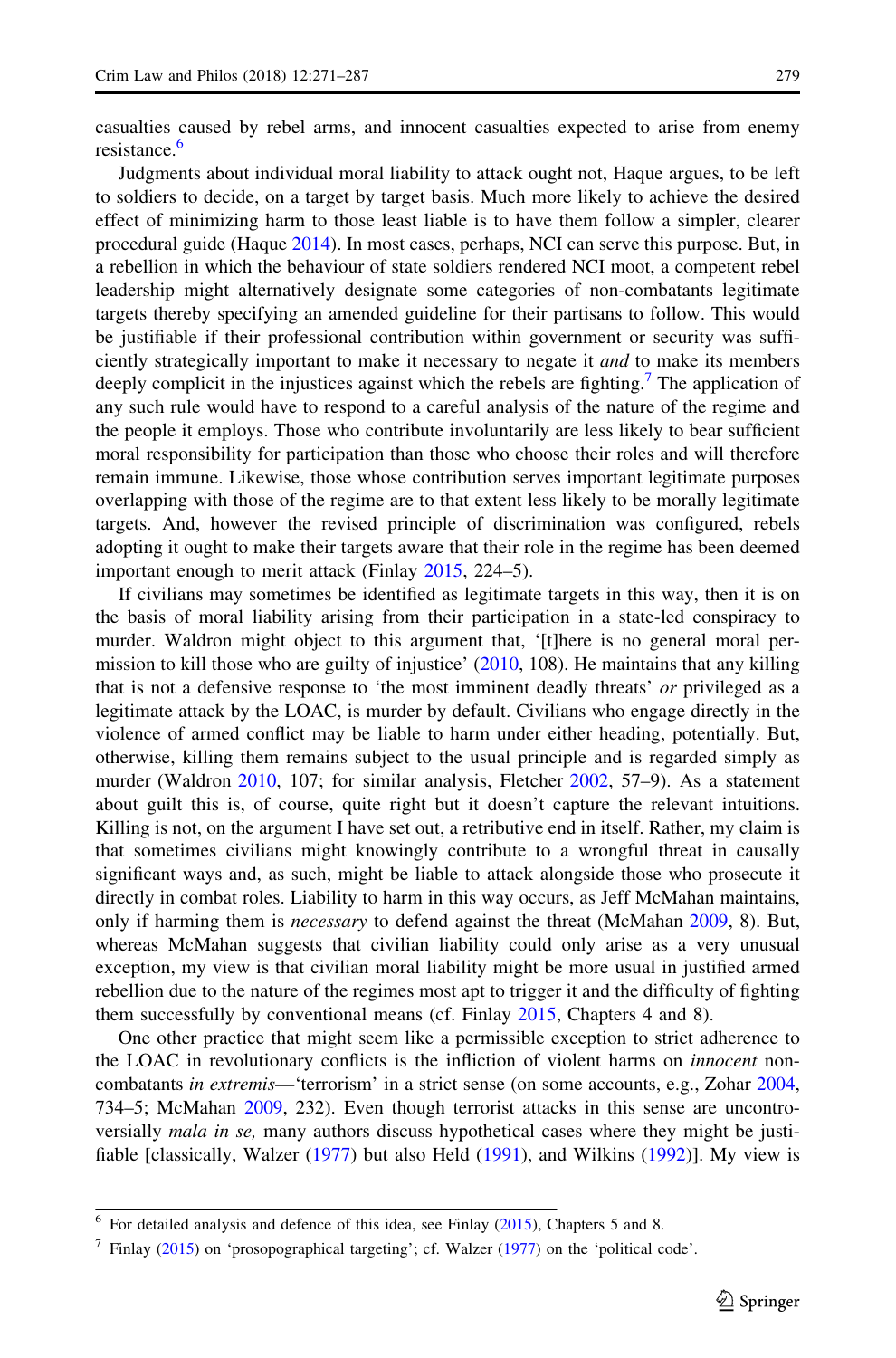casualties caused by rebel arms, and innocent casualties expected to arise from enemy resistance.<sup>6</sup>

Judgments about individual moral liability to attack ought not, Haque argues, to be left to soldiers to decide, on a target by target basis. Much more likely to achieve the desired effect of minimizing harm to those least liable is to have them follow a simpler, clearer procedural guide (Haque [2014](#page-16-0)). In most cases, perhaps, NCI can serve this purpose. But, in a rebellion in which the behaviour of state soldiers rendered NCI moot, a competent rebel leadership might alternatively designate some categories of non-combatants legitimate targets thereby specifying an amended guideline for their partisans to follow. This would be justifiable if their professional contribution within government or security was sufficiently strategically important to make it necessary to negate it *and* to make its members deeply complicit in the injustices against which the rebels are fighting.<sup>7</sup> The application of any such rule would have to respond to a careful analysis of the nature of the regime and the people it employs. Those who contribute involuntarily are less likely to bear sufficient moral responsibility for participation than those who choose their roles and will therefore remain immune. Likewise, those whose contribution serves important legitimate purposes overlapping with those of the regime are to that extent less likely to be morally legitimate targets. And, however the revised principle of discrimination was configured, rebels adopting it ought to make their targets aware that their role in the regime has been deemed important enough to merit attack (Finlay [2015](#page-16-0), 224–5).

If civilians may sometimes be identified as legitimate targets in this way, then it is on the basis of moral liability arising from their participation in a state-led conspiracy to murder. Waldron might object to this argument that, '[t]here is no general moral permission to kill those who are guilty of injustice' ([2010,](#page-17-0) 108). He maintains that any killing that is not a defensive response to 'the most imminent deadly threats' or privileged as a legitimate attack by the LOAC, is murder by default. Civilians who engage directly in the violence of armed conflict may be liable to harm under either heading, potentially. But, otherwise, killing them remains subject to the usual principle and is regarded simply as murder (Waldron [2010,](#page-17-0) 107; for similar analysis, Fletcher [2002,](#page-16-0) 57–9). As a statement about guilt this is, of course, quite right but it doesn't capture the relevant intuitions. Killing is not, on the argument I have set out, a retributive end in itself. Rather, my claim is that sometimes civilians might knowingly contribute to a wrongful threat in causally significant ways and, as such, might be liable to attack alongside those who prosecute it directly in combat roles. Liability to harm in this way occurs, as Jeff McMahan maintains, only if harming them is necessary to defend against the threat (McMahan [2009](#page-16-0), 8). But, whereas McMahan suggests that civilian liability could only arise as a very unusual exception, my view is that civilian moral liability might be more usual in justified armed rebellion due to the nature of the regimes most apt to trigger it and the difficulty of fighting them successfully by conventional means (cf. Finlay [2015](#page-16-0), Chapters 4 and 8).

One other practice that might seem like a permissible exception to strict adherence to the LOAC in revolutionary conflicts is the infliction of violent harms on *innocent* noncombatants in extremis—'terrorism' in a strict sense (on some accounts, e.g., Zohar [2004](#page-17-0), 734–5; McMahan [2009,](#page-16-0) 232). Even though terrorist attacks in this sense are uncontroversially *mala in se*, many authors discuss hypothetical cases where they might be justifiable [classically, Walzer [\(1977](#page-17-0)) but also Held ([1991\)](#page-16-0), and Wilkins ([1992\)](#page-17-0)]. My view is

<sup>6</sup> For detailed analysis and defence of this idea, see Finlay [\(2015](#page-16-0)), Chapters 5 and 8.

<sup>7</sup> Finlay [\(2015](#page-16-0)) on 'prosopographical targeting'; cf. Walzer [\(1977\)](#page-17-0) on the 'political code'.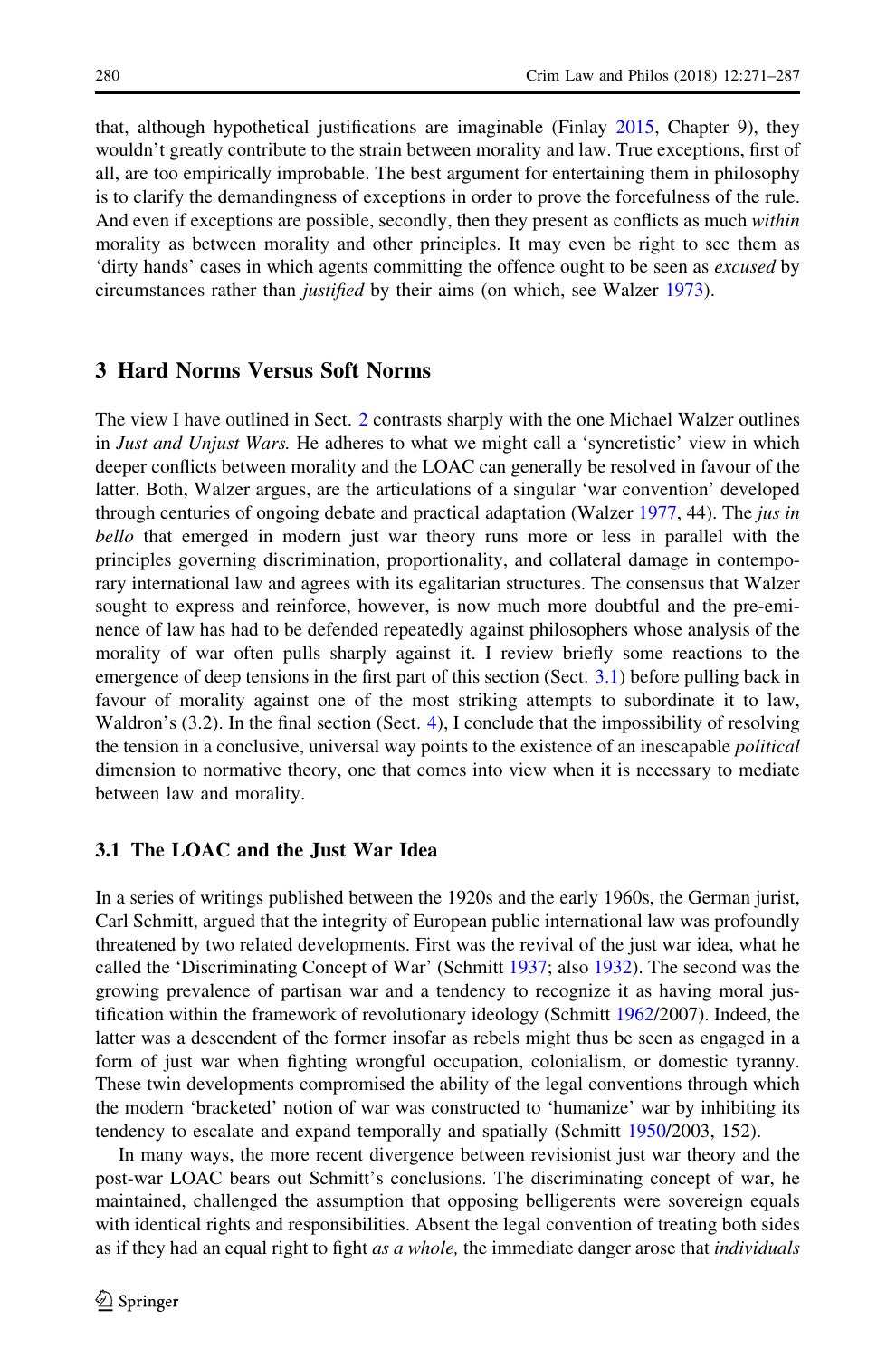<span id="page-10-0"></span>that, although hypothetical justifications are imaginable (Finlay [2015](#page-16-0), Chapter 9), they wouldn't greatly contribute to the strain between morality and law. True exceptions, first of all, are too empirically improbable. The best argument for entertaining them in philosophy is to clarify the demandingness of exceptions in order to prove the forcefulness of the rule. And even if exceptions are possible, secondly, then they present as conflicts as much within morality as between morality and other principles. It may even be right to see them as 'dirty hands' cases in which agents committing the offence ought to be seen as excused by circumstances rather than justified by their aims (on which, see Walzer [1973](#page-17-0)).

#### 3 Hard Norms Versus Soft Norms

The view I have outlined in Sect. [2](#page-3-0) contrasts sharply with the one Michael Walzer outlines in Just and Unjust Wars. He adheres to what we might call a 'syncretistic' view in which deeper conflicts between morality and the LOAC can generally be resolved in favour of the latter. Both, Walzer argues, are the articulations of a singular 'war convention' developed through centuries of ongoing debate and practical adaptation (Walzer [1977](#page-17-0), 44). The *jus in* bello that emerged in modern just war theory runs more or less in parallel with the principles governing discrimination, proportionality, and collateral damage in contemporary international law and agrees with its egalitarian structures. The consensus that Walzer sought to express and reinforce, however, is now much more doubtful and the pre-eminence of law has had to be defended repeatedly against philosophers whose analysis of the morality of war often pulls sharply against it. I review briefly some reactions to the emergence of deep tensions in the first part of this section (Sect. 3.1) before pulling back in favour of morality against one of the most striking attempts to subordinate it to law, Waldron's  $(3.2)$ . In the final section  $(Sect. 4)$  $(Sect. 4)$  $(Sect. 4)$ , I conclude that the impossibility of resolving the tension in a conclusive, universal way points to the existence of an inescapable *political* dimension to normative theory, one that comes into view when it is necessary to mediate between law and morality.

#### 3.1 The LOAC and the Just War Idea

In a series of writings published between the 1920s and the early 1960s, the German jurist, Carl Schmitt, argued that the integrity of European public international law was profoundly threatened by two related developments. First was the revival of the just war idea, what he called the 'Discriminating Concept of War' (Schmitt [1937;](#page-17-0) also [1932](#page-17-0)). The second was the growing prevalence of partisan war and a tendency to recognize it as having moral justification within the framework of revolutionary ideology (Schmitt [1962/](#page-17-0)2007). Indeed, the latter was a descendent of the former insofar as rebels might thus be seen as engaged in a form of just war when fighting wrongful occupation, colonialism, or domestic tyranny. These twin developments compromised the ability of the legal conventions through which the modern 'bracketed' notion of war was constructed to 'humanize' war by inhibiting its tendency to escalate and expand temporally and spatially (Schmitt [1950/](#page-17-0)2003, 152).

In many ways, the more recent divergence between revisionist just war theory and the post-war LOAC bears out Schmitt's conclusions. The discriminating concept of war, he maintained, challenged the assumption that opposing belligerents were sovereign equals with identical rights and responsibilities. Absent the legal convention of treating both sides as if they had an equal right to fight as a whole, the immediate danger arose that *individuals*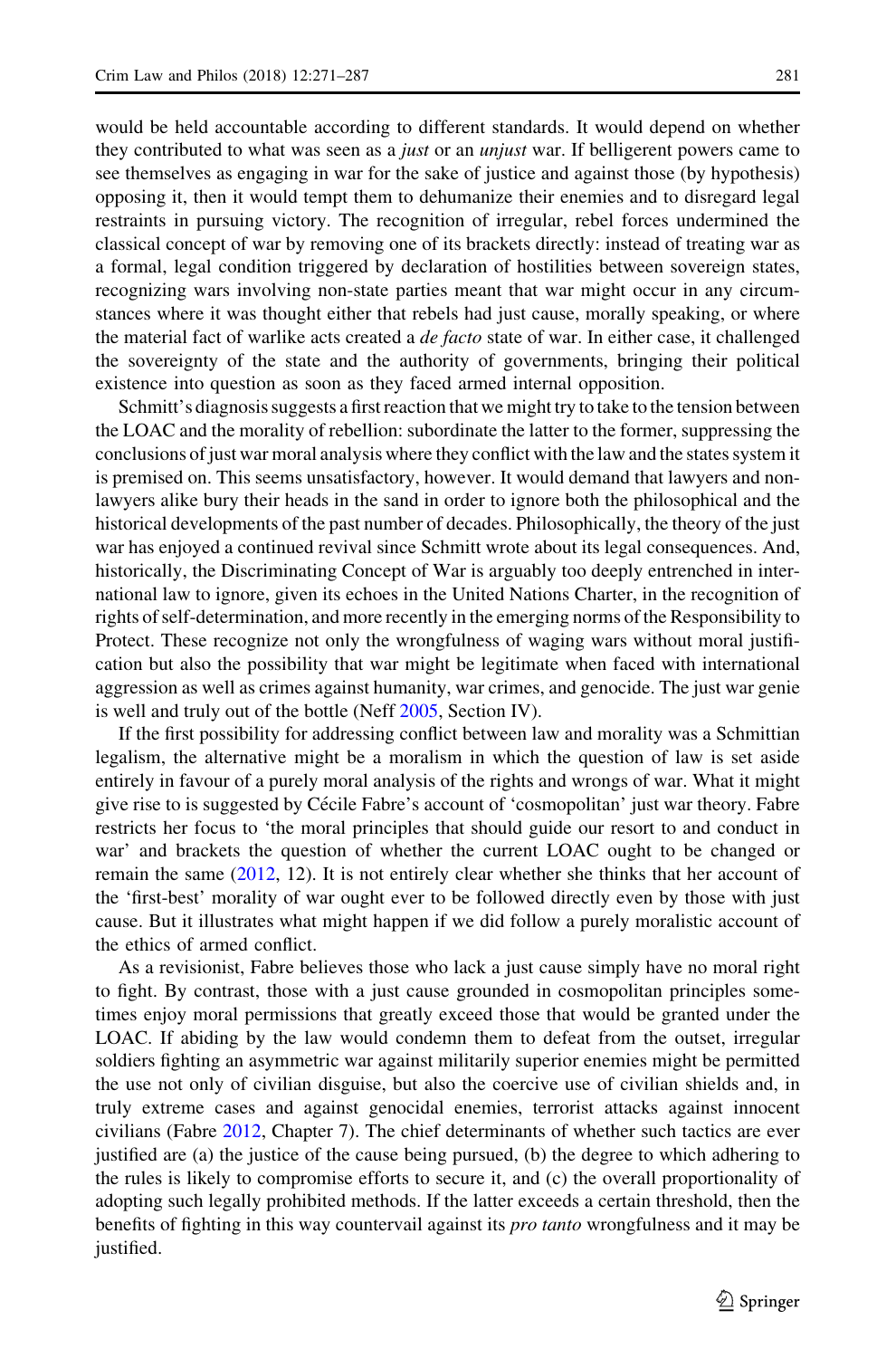would be held accountable according to different standards. It would depend on whether they contributed to what was seen as a *just* or an *unjust* war. If belligerent powers came to see themselves as engaging in war for the sake of justice and against those (by hypothesis) opposing it, then it would tempt them to dehumanize their enemies and to disregard legal restraints in pursuing victory. The recognition of irregular, rebel forces undermined the classical concept of war by removing one of its brackets directly: instead of treating war as a formal, legal condition triggered by declaration of hostilities between sovereign states, recognizing wars involving non-state parties meant that war might occur in any circumstances where it was thought either that rebels had just cause, morally speaking, or where the material fact of warlike acts created a *de facto* state of war. In either case, it challenged the sovereignty of the state and the authority of governments, bringing their political existence into question as soon as they faced armed internal opposition.

Schmitt's diagnosis suggests a first reaction that we might try to take to the tension between the LOAC and the morality of rebellion: subordinate the latter to the former, suppressing the conclusions of just war moral analysis where they conflict with the law and the states system it is premised on. This seems unsatisfactory, however. It would demand that lawyers and nonlawyers alike bury their heads in the sand in order to ignore both the philosophical and the historical developments of the past number of decades. Philosophically, the theory of the just war has enjoyed a continued revival since Schmitt wrote about its legal consequences. And, historically, the Discriminating Concept of War is arguably too deeply entrenched in international law to ignore, given its echoes in the United Nations Charter, in the recognition of rights of self-determination, and more recently in the emerging norms of the Responsibility to Protect. These recognize not only the wrongfulness of waging wars without moral justification but also the possibility that war might be legitimate when faced with international aggression as well as crimes against humanity, war crimes, and genocide. The just war genie is well and truly out of the bottle (Neff [2005](#page-17-0), Section IV).

If the first possibility for addressing conflict between law and morality was a Schmittian legalism, the alternative might be a moralism in which the question of law is set aside entirely in favour of a purely moral analysis of the rights and wrongs of war. What it might give rise to is suggested by Cécile Fabre's account of 'cosmopolitan' just war theory. Fabre restricts her focus to 'the moral principles that should guide our resort to and conduct in war' and brackets the question of whether the current LOAC ought to be changed or remain the same [\(2012](#page-16-0), 12). It is not entirely clear whether she thinks that her account of the 'first-best' morality of war ought ever to be followed directly even by those with just cause. But it illustrates what might happen if we did follow a purely moralistic account of the ethics of armed conflict.

As a revisionist, Fabre believes those who lack a just cause simply have no moral right to fight. By contrast, those with a just cause grounded in cosmopolitan principles sometimes enjoy moral permissions that greatly exceed those that would be granted under the LOAC. If abiding by the law would condemn them to defeat from the outset, irregular soldiers fighting an asymmetric war against militarily superior enemies might be permitted the use not only of civilian disguise, but also the coercive use of civilian shields and, in truly extreme cases and against genocidal enemies, terrorist attacks against innocent civilians (Fabre [2012](#page-16-0), Chapter 7). The chief determinants of whether such tactics are ever justified are (a) the justice of the cause being pursued, (b) the degree to which adhering to the rules is likely to compromise efforts to secure it, and (c) the overall proportionality of adopting such legally prohibited methods. If the latter exceeds a certain threshold, then the benefits of fighting in this way countervail against its *pro tanto* wrongfulness and it may be justified.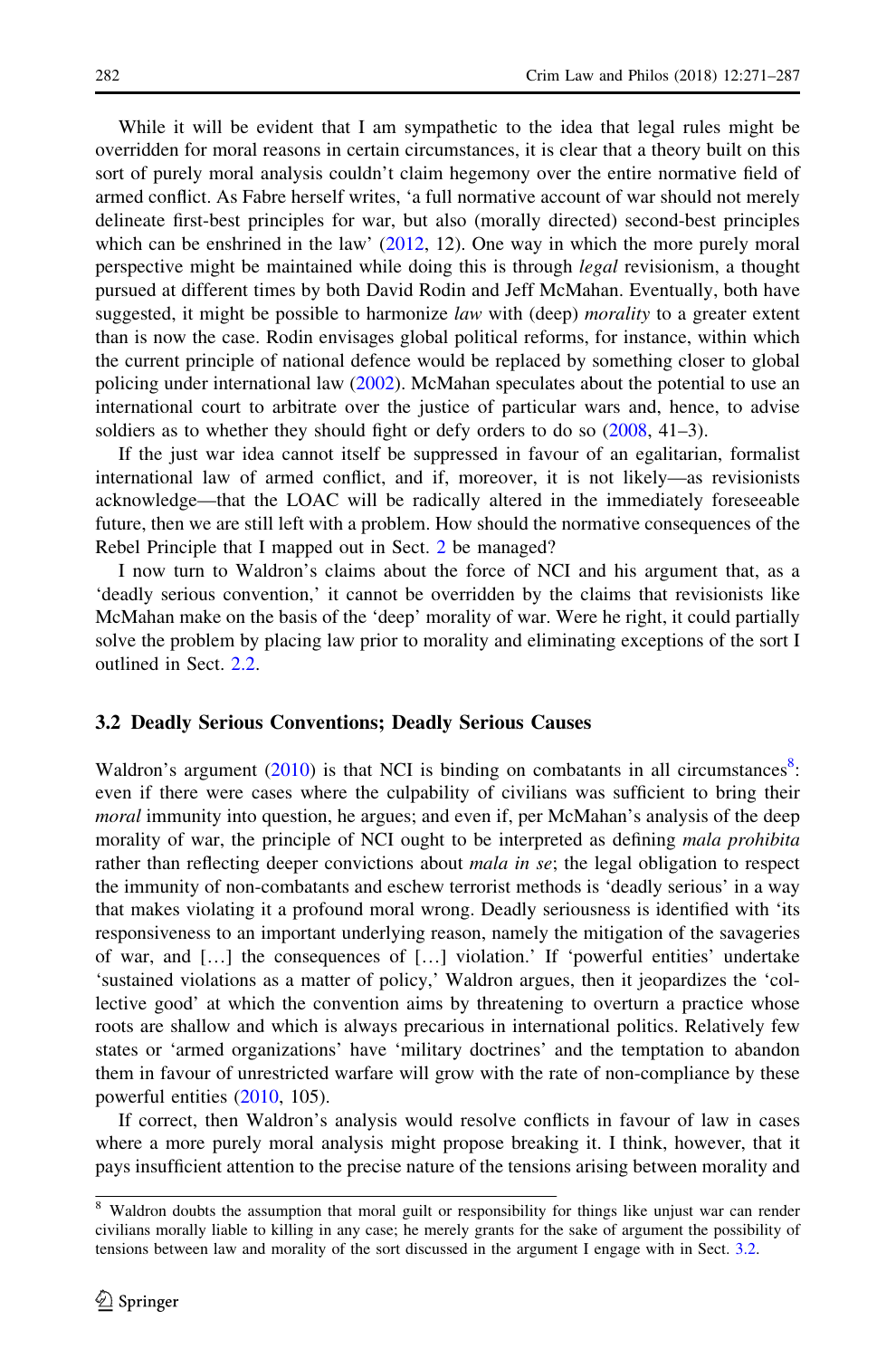While it will be evident that I am sympathetic to the idea that legal rules might be overridden for moral reasons in certain circumstances, it is clear that a theory built on this sort of purely moral analysis couldn't claim hegemony over the entire normative field of armed conflict. As Fabre herself writes, 'a full normative account of war should not merely delineate first-best principles for war, but also (morally directed) second-best principles which can be enshrined in the law'  $(2012, 12)$  $(2012, 12)$ . One way in which the more purely moral perspective might be maintained while doing this is through *legal* revisionism, a thought pursued at different times by both David Rodin and Jeff McMahan. Eventually, both have suggested, it might be possible to harmonize law with (deep) *morality* to a greater extent than is now the case. Rodin envisages global political reforms, for instance, within which the current principle of national defence would be replaced by something closer to global policing under international law ([2002\)](#page-17-0). McMahan speculates about the potential to use an international court to arbitrate over the justice of particular wars and, hence, to advise soldiers as to whether they should fight or defy orders to do so  $(2008, 41-3)$  $(2008, 41-3)$  $(2008, 41-3)$ .

If the just war idea cannot itself be suppressed in favour of an egalitarian, formalist international law of armed conflict, and if, moreover, it is not likely—as revisionists acknowledge—that the LOAC will be radically altered in the immediately foreseeable future, then we are still left with a problem. How should the normative consequences of the Rebel Principle that I mapped out in Sect. [2](#page-3-0) be managed?

I now turn to Waldron's claims about the force of NCI and his argument that, as a 'deadly serious convention,' it cannot be overridden by the claims that revisionists like McMahan make on the basis of the 'deep' morality of war. Were he right, it could partially solve the problem by placing law prior to morality and eliminating exceptions of the sort I outlined in Sect. [2.2](#page-6-0).

#### 3.2 Deadly Serious Conventions; Deadly Serious Causes

Waldron's argument  $(2010)$  $(2010)$  is that NCI is binding on combatants in all circumstances<sup>8</sup>: even if there were cases where the culpability of civilians was sufficient to bring their moral immunity into question, he argues; and even if, per McMahan's analysis of the deep morality of war, the principle of NCI ought to be interpreted as defining *mala prohibita* rather than reflecting deeper convictions about *mala in se*; the legal obligation to respect the immunity of non-combatants and eschew terrorist methods is 'deadly serious' in a way that makes violating it a profound moral wrong. Deadly seriousness is identified with 'its responsiveness to an important underlying reason, namely the mitigation of the savageries of war, and […] the consequences of […] violation.' If 'powerful entities' undertake 'sustained violations as a matter of policy,' Waldron argues, then it jeopardizes the 'collective good' at which the convention aims by threatening to overturn a practice whose roots are shallow and which is always precarious in international politics. Relatively few states or 'armed organizations' have 'military doctrines' and the temptation to abandon them in favour of unrestricted warfare will grow with the rate of non-compliance by these powerful entities ([2010,](#page-17-0) 105).

If correct, then Waldron's analysis would resolve conflicts in favour of law in cases where a more purely moral analysis might propose breaking it. I think, however, that it pays insufficient attention to the precise nature of the tensions arising between morality and

<sup>&</sup>lt;sup>8</sup> Waldron doubts the assumption that moral guilt or responsibility for things like unjust war can render civilians morally liable to killing in any case; he merely grants for the sake of argument the possibility of tensions between law and morality of the sort discussed in the argument I engage with in Sect. 3.2.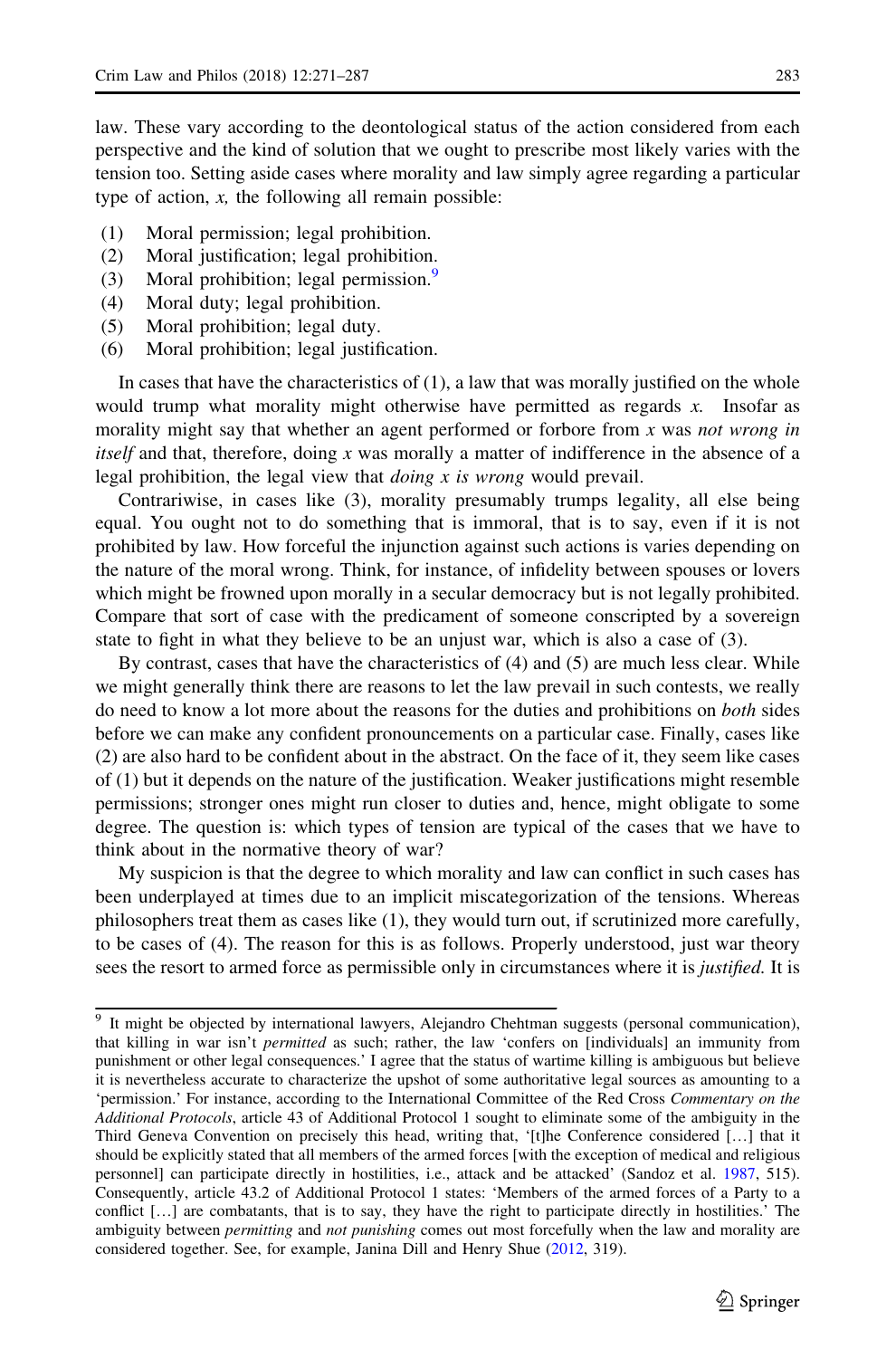law. These vary according to the deontological status of the action considered from each perspective and the kind of solution that we ought to prescribe most likely varies with the tension too. Setting aside cases where morality and law simply agree regarding a particular type of action,  $x$ , the following all remain possible:

- (1) Moral permission; legal prohibition.
- (2) Moral justification; legal prohibition.
- (3) Moral prohibition; legal permission.<sup>9</sup>
- (4) Moral duty; legal prohibition.
- (5) Moral prohibition; legal duty.
- (6) Moral prohibition; legal justification.

In cases that have the characteristics of (1), a law that was morally justified on the whole would trump what morality might otherwise have permitted as regards  $x$ . Insofar as morality might say that whether an agent performed or forbore from  $x$  was not wrong in itself and that, therefore, doing  $x$  was morally a matter of indifference in the absence of a legal prohibition, the legal view that *doing*  $x$  is wrong would prevail.

Contrariwise, in cases like (3), morality presumably trumps legality, all else being equal. You ought not to do something that is immoral, that is to say, even if it is not prohibited by law. How forceful the injunction against such actions is varies depending on the nature of the moral wrong. Think, for instance, of infidelity between spouses or lovers which might be frowned upon morally in a secular democracy but is not legally prohibited. Compare that sort of case with the predicament of someone conscripted by a sovereign state to fight in what they believe to be an unjust war, which is also a case of (3).

By contrast, cases that have the characteristics of (4) and (5) are much less clear. While we might generally think there are reasons to let the law prevail in such contests, we really do need to know a lot more about the reasons for the duties and prohibitions on both sides before we can make any confident pronouncements on a particular case. Finally, cases like (2) are also hard to be confident about in the abstract. On the face of it, they seem like cases of (1) but it depends on the nature of the justification. Weaker justifications might resemble permissions; stronger ones might run closer to duties and, hence, might obligate to some degree. The question is: which types of tension are typical of the cases that we have to think about in the normative theory of war?

My suspicion is that the degree to which morality and law can conflict in such cases has been underplayed at times due to an implicit miscategorization of the tensions. Whereas philosophers treat them as cases like (1), they would turn out, if scrutinized more carefully, to be cases of (4). The reason for this is as follows. Properly understood, just war theory sees the resort to armed force as permissible only in circumstances where it is *justified*. It is

<sup>9</sup> It might be objected by international lawyers, Alejandro Chehtman suggests (personal communication), that killing in war isn't *permitted* as such; rather, the law 'confers on [individuals] an immunity from punishment or other legal consequences.' I agree that the status of wartime killing is ambiguous but believe it is nevertheless accurate to characterize the upshot of some authoritative legal sources as amounting to a 'permission.' For instance, according to the International Committee of the Red Cross Commentary on the Additional Protocols, article 43 of Additional Protocol 1 sought to eliminate some of the ambiguity in the Third Geneva Convention on precisely this head, writing that, '[t]he Conference considered […] that it should be explicitly stated that all members of the armed forces [with the exception of medical and religious personnel] can participate directly in hostilities, i.e., attack and be attacked' (Sandoz et al. [1987,](#page-17-0) 515). Consequently, article 43.2 of Additional Protocol 1 states: 'Members of the armed forces of a Party to a conflict […] are combatants, that is to say, they have the right to participate directly in hostilities.' The ambiguity between *permitting* and *not punishing* comes out most forcefully when the law and morality are considered together. See, for example, Janina Dill and Henry Shue ([2012](#page-16-0), 319).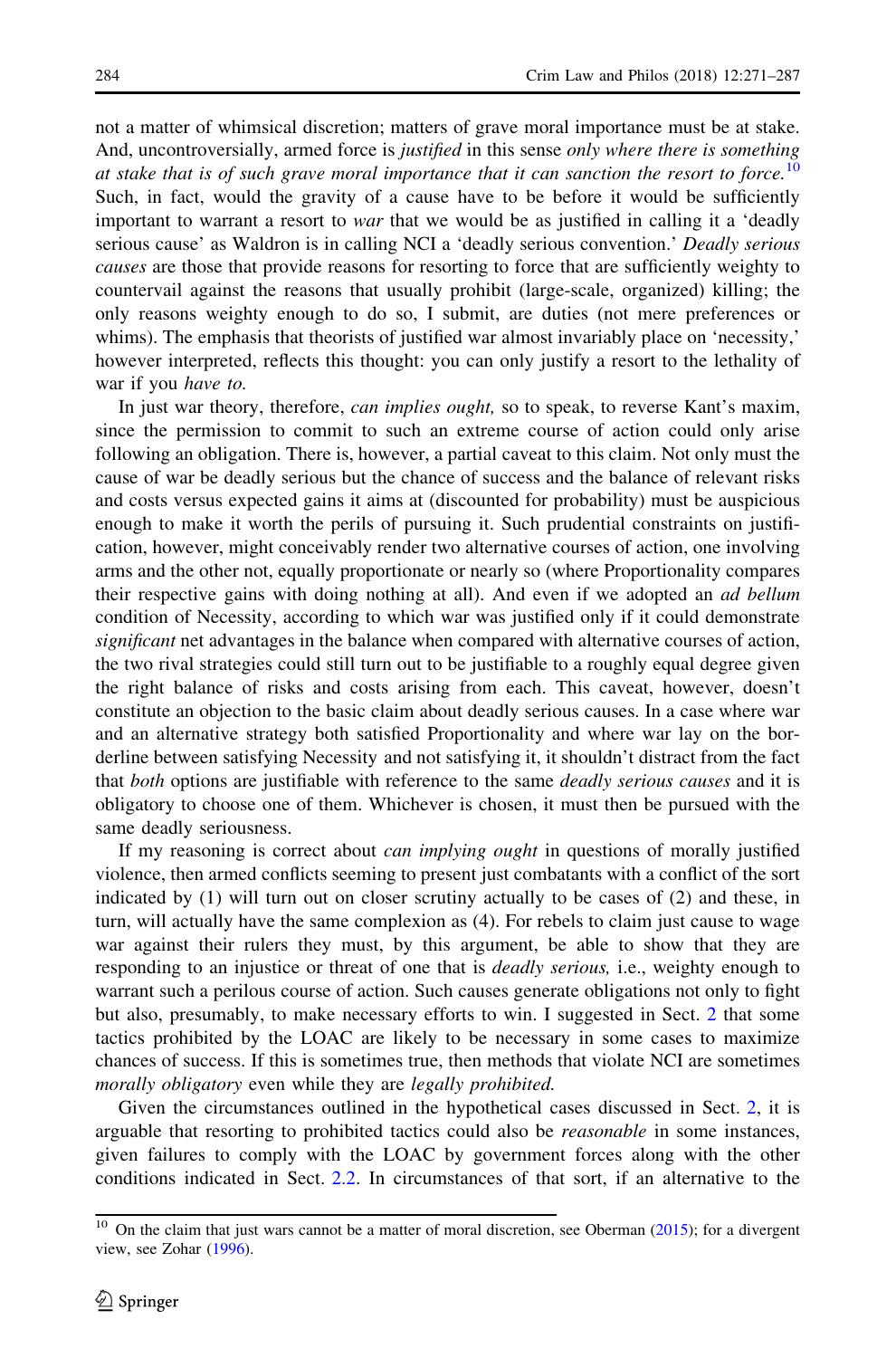not a matter of whimsical discretion; matters of grave moral importance must be at stake. And, uncontroversially, armed force is *justified* in this sense *only where there is something* at stake that is of such grave moral importance that it can sanction the resort to force.<sup>10</sup> Such, in fact, would the gravity of a cause have to be before it would be sufficiently important to warrant a resort to war that we would be as justified in calling it a 'deadly serious cause' as Waldron is in calling NCI a 'deadly serious convention.' Deadly serious causes are those that provide reasons for resorting to force that are sufficiently weighty to countervail against the reasons that usually prohibit (large-scale, organized) killing; the only reasons weighty enough to do so, I submit, are duties (not mere preferences or whims). The emphasis that theorists of justified war almost invariably place on 'necessity,' however interpreted, reflects this thought: you can only justify a resort to the lethality of war if you have to.

In just war theory, therefore, *can implies ought*, so to speak, to reverse Kant's maxim, since the permission to commit to such an extreme course of action could only arise following an obligation. There is, however, a partial caveat to this claim. Not only must the cause of war be deadly serious but the chance of success and the balance of relevant risks and costs versus expected gains it aims at (discounted for probability) must be auspicious enough to make it worth the perils of pursuing it. Such prudential constraints on justification, however, might conceivably render two alternative courses of action, one involving arms and the other not, equally proportionate or nearly so (where Proportionality compares their respective gains with doing nothing at all). And even if we adopted an *ad bellum* condition of Necessity, according to which war was justified only if it could demonstrate significant net advantages in the balance when compared with alternative courses of action, the two rival strategies could still turn out to be justifiable to a roughly equal degree given the right balance of risks and costs arising from each. This caveat, however, doesn't constitute an objection to the basic claim about deadly serious causes. In a case where war and an alternative strategy both satisfied Proportionality and where war lay on the borderline between satisfying Necessity and not satisfying it, it shouldn't distract from the fact that both options are justifiable with reference to the same *deadly serious causes* and it is obligatory to choose one of them. Whichever is chosen, it must then be pursued with the same deadly seriousness.

If my reasoning is correct about can implying ought in questions of morally justified violence, then armed conflicts seeming to present just combatants with a conflict of the sort indicated by (1) will turn out on closer scrutiny actually to be cases of (2) and these, in turn, will actually have the same complexion as (4). For rebels to claim just cause to wage war against their rulers they must, by this argument, be able to show that they are responding to an injustice or threat of one that is *deadly serious*, i.e., weighty enough to warrant such a perilous course of action. Such causes generate obligations not only to fight but also, presumably, to make necessary efforts to win. I suggested in Sect. [2](#page-3-0) that some tactics prohibited by the LOAC are likely to be necessary in some cases to maximize chances of success. If this is sometimes true, then methods that violate NCI are sometimes morally obligatory even while they are *legally prohibited*.

Given the circumstances outlined in the hypothetical cases discussed in Sect. [2](#page-3-0), it is arguable that resorting to prohibited tactics could also be *reasonable* in some instances, given failures to comply with the LOAC by government forces along with the other conditions indicated in Sect. [2.2.](#page-6-0) In circumstances of that sort, if an alternative to the

<sup>&</sup>lt;sup>10</sup> On the claim that just wars cannot be a matter of moral discretion, see Oberman  $(2015)$  $(2015)$ ; for a divergent view, see Zohar [\(1996\)](#page-17-0).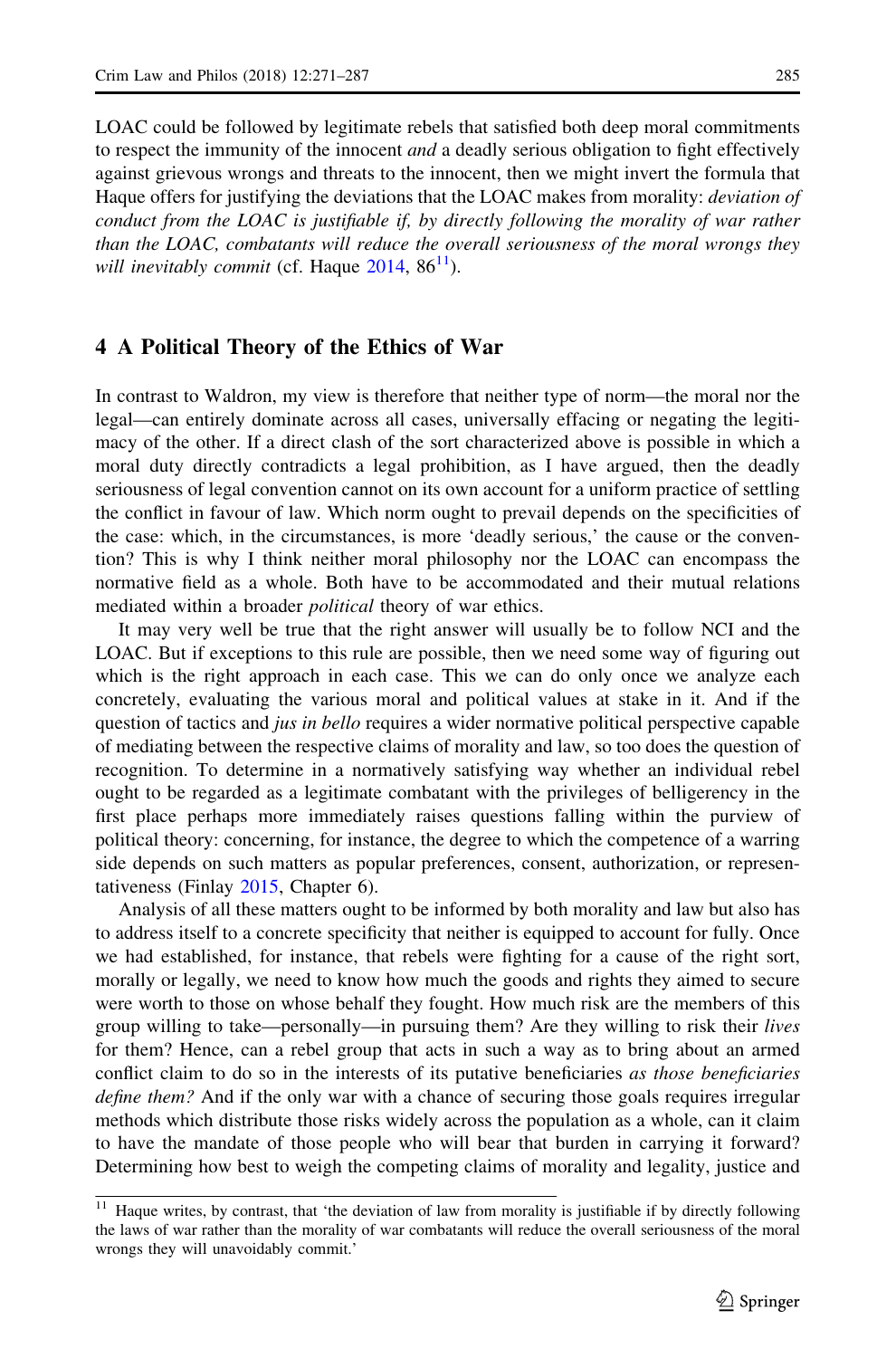<span id="page-15-0"></span>LOAC could be followed by legitimate rebels that satisfied both deep moral commitments to respect the immunity of the innocent *and* a deadly serious obligation to fight effectively against grievous wrongs and threats to the innocent, then we might invert the formula that Haque offers for justifying the deviations that the LOAC makes from morality: *deviation of* conduct from the LOAC is justifiable if, by directly following the morality of war rather than the LOAC, combatants will reduce the overall seriousness of the moral wrongs they will inevitably commit (cf. Haque  $2014$ ,  $86<sup>11</sup>$ ).

#### 4 A Political Theory of the Ethics of War

In contrast to Waldron, my view is therefore that neither type of norm—the moral nor the legal—can entirely dominate across all cases, universally effacing or negating the legitimacy of the other. If a direct clash of the sort characterized above is possible in which a moral duty directly contradicts a legal prohibition, as I have argued, then the deadly seriousness of legal convention cannot on its own account for a uniform practice of settling the conflict in favour of law. Which norm ought to prevail depends on the specificities of the case: which, in the circumstances, is more 'deadly serious,' the cause or the convention? This is why I think neither moral philosophy nor the LOAC can encompass the normative field as a whole. Both have to be accommodated and their mutual relations mediated within a broader *political* theory of war ethics.

It may very well be true that the right answer will usually be to follow NCI and the LOAC. But if exceptions to this rule are possible, then we need some way of figuring out which is the right approach in each case. This we can do only once we analyze each concretely, evaluating the various moral and political values at stake in it. And if the question of tactics and *jus in bello* requires a wider normative political perspective capable of mediating between the respective claims of morality and law, so too does the question of recognition. To determine in a normatively satisfying way whether an individual rebel ought to be regarded as a legitimate combatant with the privileges of belligerency in the first place perhaps more immediately raises questions falling within the purview of political theory: concerning, for instance, the degree to which the competence of a warring side depends on such matters as popular preferences, consent, authorization, or representativeness (Finlay [2015,](#page-16-0) Chapter 6).

Analysis of all these matters ought to be informed by both morality and law but also has to address itself to a concrete specificity that neither is equipped to account for fully. Once we had established, for instance, that rebels were fighting for a cause of the right sort, morally or legally, we need to know how much the goods and rights they aimed to secure were worth to those on whose behalf they fought. How much risk are the members of this group willing to take—personally—in pursuing them? Are they willing to risk their lives for them? Hence, can a rebel group that acts in such a way as to bring about an armed conflict claim to do so in the interests of its putative beneficiaries as those beneficiaries define them? And if the only war with a chance of securing those goals requires irregular methods which distribute those risks widely across the population as a whole, can it claim to have the mandate of those people who will bear that burden in carrying it forward? Determining how best to weigh the competing claims of morality and legality, justice and

<sup>&</sup>lt;sup>11</sup> Haque writes, by contrast, that 'the deviation of law from morality is justifiable if by directly following the laws of war rather than the morality of war combatants will reduce the overall seriousness of the moral wrongs they will unavoidably commit.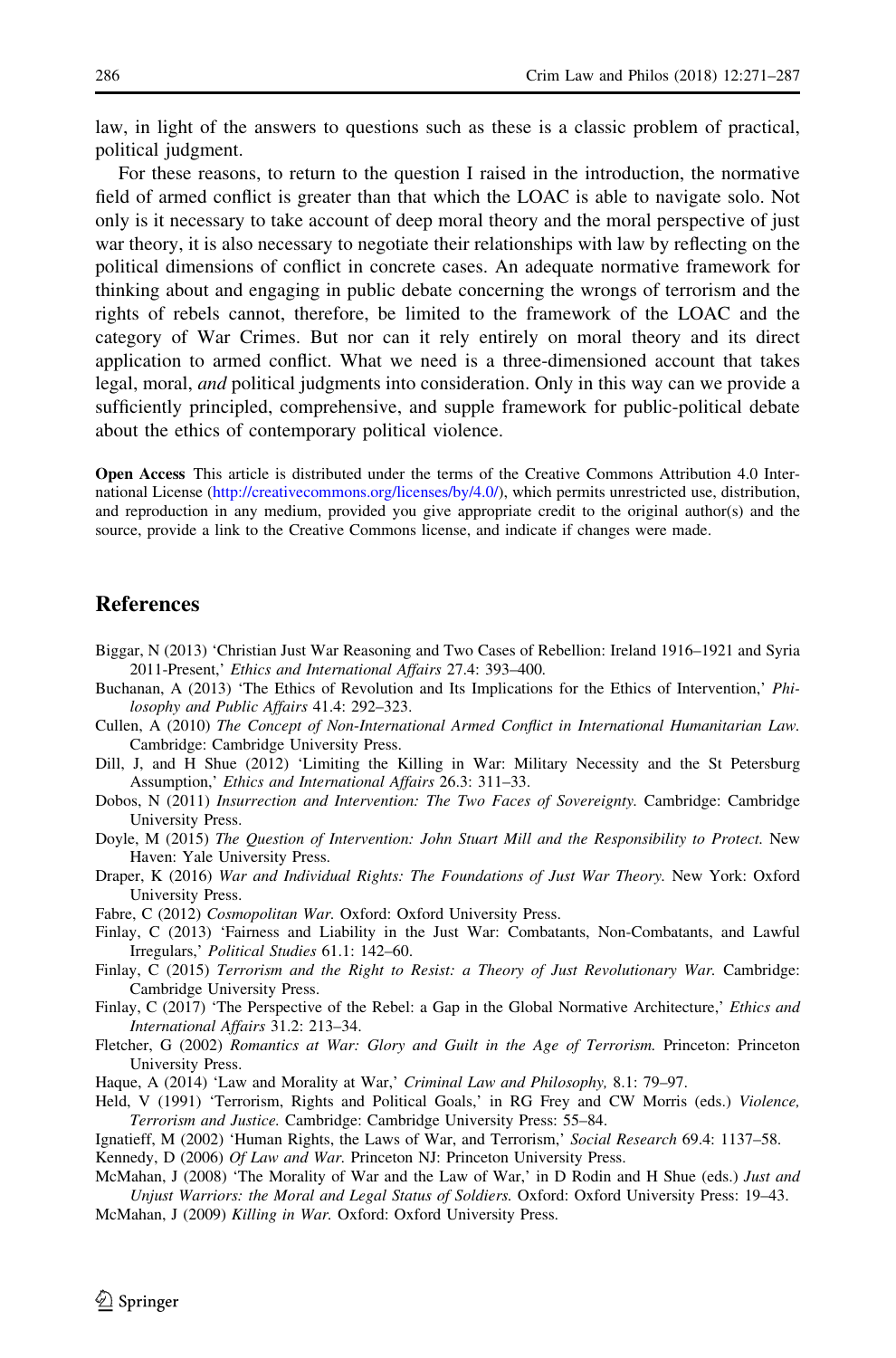<span id="page-16-0"></span>law, in light of the answers to questions such as these is a classic problem of practical, political judgment.

For these reasons, to return to the question I raised in the introduction, the normative field of armed conflict is greater than that which the LOAC is able to navigate solo. Not only is it necessary to take account of deep moral theory and the moral perspective of just war theory, it is also necessary to negotiate their relationships with law by reflecting on the political dimensions of conflict in concrete cases. An adequate normative framework for thinking about and engaging in public debate concerning the wrongs of terrorism and the rights of rebels cannot, therefore, be limited to the framework of the LOAC and the category of War Crimes. But nor can it rely entirely on moral theory and its direct application to armed conflict. What we need is a three-dimensioned account that takes legal, moral, *and* political judgments into consideration. Only in this way can we provide a sufficiently principled, comprehensive, and supple framework for public-political debate about the ethics of contemporary political violence.

Open Access This article is distributed under the terms of the Creative Commons Attribution 4.0 International License [\(http://creativecommons.org/licenses/by/4.0/\)](http://creativecommons.org/licenses/by/4.0/), which permits unrestricted use, distribution, and reproduction in any medium, provided you give appropriate credit to the original author(s) and the source, provide a link to the Creative Commons license, and indicate if changes were made.

### References

- Biggar, N (2013) 'Christian Just War Reasoning and Two Cases of Rebellion: Ireland 1916–1921 and Syria 2011-Present,' Ethics and International Affairs 27.4: 393–400.
- Buchanan, A (2013) 'The Ethics of Revolution and Its Implications for the Ethics of Intervention,' Philosophy and Public Affairs 41.4: 292–323.
- Cullen, A (2010) The Concept of Non-International Armed Conflict in International Humanitarian Law. Cambridge: Cambridge University Press.
- Dill, J, and H Shue (2012) 'Limiting the Killing in War: Military Necessity and the St Petersburg Assumption,' Ethics and International Affairs 26.3: 311–33.
- Dobos, N (2011) Insurrection and Intervention: The Two Faces of Sovereignty. Cambridge: Cambridge University Press.
- Doyle, M (2015) The Question of Intervention: John Stuart Mill and the Responsibility to Protect. New Haven: Yale University Press.
- Draper, K (2016) War and Individual Rights: The Foundations of Just War Theory. New York: Oxford University Press.
- Fabre, C (2012) Cosmopolitan War. Oxford: Oxford University Press.
- Finlay, C (2013) 'Fairness and Liability in the Just War: Combatants, Non-Combatants, and Lawful Irregulars,' Political Studies 61.1: 142–60.
- Finlay, C (2015) Terrorism and the Right to Resist: a Theory of Just Revolutionary War. Cambridge: Cambridge University Press.
- Finlay, C (2017) 'The Perspective of the Rebel: a Gap in the Global Normative Architecture,' Ethics and International Affairs 31.2: 213–34.
- Fletcher, G (2002) Romantics at War: Glory and Guilt in the Age of Terrorism. Princeton: Princeton University Press.
- Haque, A (2014) 'Law and Morality at War,' Criminal Law and Philosophy, 8.1: 79-97.
- Held, V (1991) 'Terrorism, Rights and Political Goals,' in RG Frey and CW Morris (eds.) Violence, Terrorism and Justice. Cambridge: Cambridge University Press: 55–84.
- Ignatieff, M (2002) 'Human Rights, the Laws of War, and Terrorism,' Social Research 69.4: 1137–58.

McMahan, J (2009) Killing in War. Oxford: Oxford University Press.

Kennedy, D (2006) Of Law and War. Princeton NJ: Princeton University Press.

McMahan, J (2008) 'The Morality of War and the Law of War,' in D Rodin and H Shue (eds.) Just and Unjust Warriors: the Moral and Legal Status of Soldiers. Oxford: Oxford University Press: 19–43.